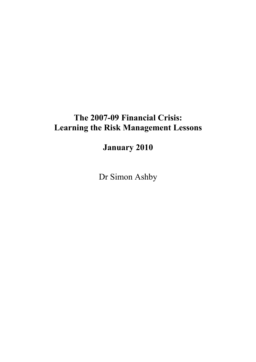# The 2007-09 Financial Crisis: Learning the Risk Management Lessons

January 2010

Dr Simon Ashby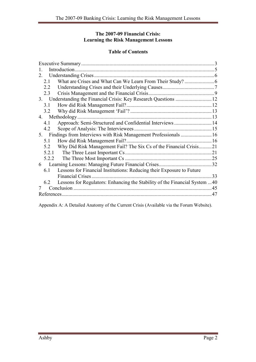## The 2007-09 Financial Crisis: Learning the Risk Management Lessons

## Table of Contents

| 2                                                                                 |    |
|-----------------------------------------------------------------------------------|----|
| 2.1                                                                               |    |
| 2.2                                                                               |    |
| 2.3                                                                               |    |
| 3.                                                                                |    |
| 3.1                                                                               |    |
| 3.2                                                                               |    |
| Methodology<br>4                                                                  |    |
| Approach: Semi-Structured and Confidential Interviews  14<br>4.1                  |    |
| 4.2                                                                               |    |
| 5.                                                                                |    |
| 5.1                                                                               |    |
| Why Did Risk Management Fail? The Six Cs of the Financial Crisis21<br>5.2         |    |
| 5.2.1                                                                             |    |
| 5.2.2                                                                             |    |
| 6                                                                                 |    |
| Lessons for Financial Institutions: Reducing their Exposure to Future<br>61       |    |
| Financial Crises.                                                                 | 33 |
| Lessons for Regulators: Enhancing the Stability of the Financial System 40<br>6.2 |    |
|                                                                                   | 45 |
|                                                                                   | 47 |

Appendix A: A Detailed Anatomy of the Current Crisis (Available via the Forum Website).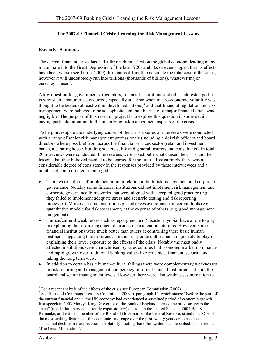#### The 2007-09 Financial Crisis: Learning the Risk Management Lessons

#### Executive Summary

The current financial crisis has had a far reaching effect on the global economy leading many to compare it to the Great Depression of the late 1920s and 30s or even suggest that its effects have been worse (see Turner 2009). It remains difficult to calculate the total cost of the crisis, however it will undoubtedly run into trillions (thousands of billions), whatever major currency is used<sup>1</sup>.

A key question for governments, regulators, financial institutions and other interested parties is why such a major crisis occurred, especially at a time when macro-economic volatility was thought to be beaten (at least within developed nations)<sup>2</sup> and that financial regulation and risk management were believed to be so sophisticated that the risk of a major financial crisis was negligible. The purpose of this research project is to explore this question in some detail, paying particular attention to the underlying risk management aspects of the crisis.

To help investigate the underlying causes of the crisis a series of interviews were conducted with a range of senior risk management professionals (including chief risk officers and board directors where possible) from across the financial services sector (retail and investment banks, a clearing house, building societies, life and general insurers and consultants). In total 20 interviews were conducted. Interviewees were asked both what caused the crisis and the lessons that they believed needed to be learned for the future. Reassuringly there was a considerable degree of consistency in the responses provided by these interviewees and a number of common themes emerged:

- There were failures of implementation in relation to both risk management and corporate governance. Notably some financial institutions did not implement risk management and corporate governance frameworks that were aligned with accepted good practice (e.g. they failed to implement adequate stress and scenario testing and risk reporting processes). Moreover some institutions placed excessive reliance on certain tools (e.g. quantitative models for risk assessment) at the expense of others (e.g. good management judgement).
- Human/cultural weaknesses such as: ego, greed and 'disaster myopia' have a role to play in explaining the risk management decisions of financial institutions. However, some financial institutions were much better than others at controlling these basic human instincts, suggesting that differences in their corporate culture had a major role to play in explaining their lower exposure to the effects of the crisis. Notably the most badly affected institutions were characterised by sales cultures that promoted market dominance and rapid growth over traditional banking values like prudence, financial security and taking the long term view.
- In addition to certain basic human/cultural failings there were complementary weaknesses in risk reporting and management competency in some financial institutions, at both the board and senior management levels. However there were also weaknesses in relation to

 $\overline{a}$ <sup>1</sup> For a recent analysis of the effects of the crisis see European Commission (2009).

<sup>&</sup>lt;sup>2</sup> See House of Commons Treasury Committee (2009a), paragraph 14, which states: "Before the start of the current financial crisis, the UK economy had experienced a sustained period of economic growth. In a speech in 2003 Mervyn King, Governor of the Bank of England, termed the previous years the "nice" (non-inflationary consistently expansionary) decade. In the United States in 2004 Ben S. Bernanke, at the time a member of the Board of Governors of the Federal Reserve, stated that 'One of the most striking features of the economic landscape over the past twenty years or so has been a substantial decline in macroeconomic volatility', noting that other writers had described this period as 'The Great Moderation'."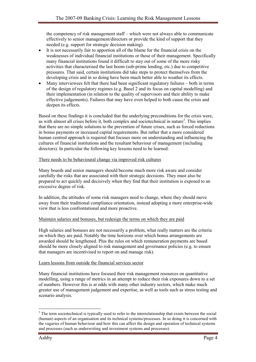the competency of risk management staff – which were not always able to communicate effectively to senior management/directors or provide the kind of support that they needed (e.g. support for strategic decision making).

- It is not necessarily fair to apportion all of the blame for the financial crisis on the weaknesses of individual financial institutions or those of their management. Specifically many financial institutions found it difficult to stay out of some of the more risky activities that characterised the last boom (sub-prime lending, etc.) due to competitive pressures. That said, certain institutions did take steps to protect themselves from the developing crisis and in so doing have been much better able to weather its effects.
- Many interviewees felt that there had been significant regulatory failures both in terms of the design of regulatory regimes (e.g. Basel 2 and its focus on capital modelling) and their implementation (in relation to the quality of supervisors and their ability to make effective judgements). Failures that may have even helped to both cause the crisis and deepen its effects.

Based on these findings it is concluded that the underlying preconditions for the crisis were, as with almost all crises before it, both complex and sociotechnical in nature<sup>3</sup>. This implies that there are no simple solutions to the prevention of future crises, such as forced reductions in bonus payments or increased capital requirements. But rather that a more considered human centred approach is required that focuses more on understanding and influencing the cultures of financial institutions and the resultant behaviour of management (including directors). In particular the following key lessons need to be learned:

#### There needs to be behavioural change via improved risk cultures

Many boards and senior managers should become much more risk aware and consider carefully the risks that are associated with their strategic decisions. They must also be prepared to act quickly and decisively when they find that their institution is exposed to an excessive degree of risk.

In addition, the attitudes of some risk managers need to change, where they should move away from their traditional compliance orientation, instead adopting a more enterprise-wide view that is less confrontational and more proactive.

## Maintain salaries and bonuses, but redesign the terms on which they are paid

High salaries and bonuses are not necessarily a problem, what really matters are the criteria on which they are paid. Notably the time horizons over which bonus arrangements are awarded should be lengthened. Plus the rules on which remuneration payments are based should be more closely aligned to risk management and governance policies (e.g. to ensure that managers are incentivised to report on and manage risk).

## Learn lessons from outside the financial services sector

Many financial institutions have focused their risk management resources on quantitative modelling, using a range of metrics in an attempt to reduce their risk exposures down to a set of numbers. However this is at odds with many other industry sectors, which make much greater use of management judgement and expertise, as well as tools such as stress testing and scenario analysis.

 $\overline{a}$ 

<sup>&</sup>lt;sup>3</sup> The term sociotechnical is typically used to refer to the interrelationship that exists between the social (human) aspects of an organisation and its technical systems/processes. In so doing it is concerned with the vagaries of human behaviour and how this can affect the design and operation of technical systems and processes (such as underwriting and investment systems and processes).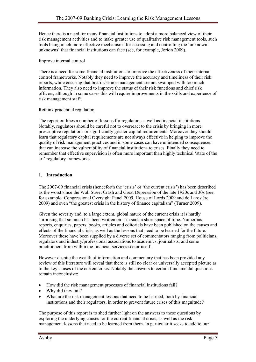Hence there is a need for many financial institutions to adopt a more balanced view of their risk management activities and to make greater use of qualitative risk management tools, such tools being much more effective mechanisms for assessing and controlling the 'unknown unknowns' that financial institutions can face (see, for example, Jorion 2009).

#### Improve internal control

There is a need for some financial institutions to improve the effectiveness of their internal control frameworks. Notably they need to improve the accuracy and timeliness of their risk reports, while ensuring that boards/senior management are not swamped with too much information. They also need to improve the status of their risk functions and chief risk officers, although in some cases this will require improvements in the skills and experience of risk management staff.

#### Rethink prudential regulation

The report outlines a number of lessons for regulators as well as financial institutions. Notably, regulators should be careful not to overreact to the crisis by bringing in more prescriptive regulations or significantly greater capital requirements. Moreover they should learn that regulatory capital requirements are not always effective in helping to improve the quality of risk management practices and in some cases can have unintended consequences that can increase the vulnerability of financial institutions to crises. Finally they need to remember that effective supervision is often more important than highly technical 'state of the art' regulatory frameworks.

## 1. Introduction

The 2007-09 financial crisis (henceforth the 'crisis' or 'the current crisis') has been described as the worst since the Wall Street Crash and Great Depression of the late 1920s and 30s (see, for example: Congressional Oversight Panel 2009, House of Lords 2009 and de Larosière 2009) and even "the greatest crisis in the history of finance capitalism" (Turner 2009).

Given the severity and, to a large extent, global nature of the current crisis it is hardly surprising that so much has been written on it in such a short space of time. Numerous reports, enquiries, papers, books, articles and editorials have been published on the causes and effects of the financial crisis, as well as the lessons that need to be learned for the future. Moreover these have been supplied by a diverse set of commentators ranging from politicians, regulators and industry/professional associations to academics, journalists, and some practitioners from within the financial services sector itself.

However despite the wealth of information and commentary that has been provided any review of this literature will reveal that there is still no clear or universally accepted picture as to the key causes of the current crisis. Notably the answers to certain fundamental questions remain inconclusive:

- How did the risk management processes of financial institutions fail?
- Why did they fail?
- What are the risk management lessons that need to be learned, both by financial institutions and their regulators, in order to prevent future crises of this magnitude?

The purpose of this report is to shed further light on the answers to these questions by exploring the underlying causes for the current financial crisis, as well as the risk management lessons that need to be learned from them. In particular it seeks to add to our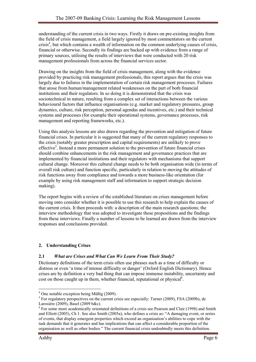understanding of the current crisis in two ways. Firstly it draws on pre-existing insights from the field of crisis management, a field largely ignored by most commentators on the current crisis<sup>4</sup>, but which contains a wealth of information on the common underlying causes of crisis, financial or otherwise. Secondly its findings are backed up with evidence from a range of primary sources, utilising the results of interviews that were conducted with 20 risk management professionals from across the financial services sector.

Drawing on the insights from the field of crisis management, along with the evidence provided by practicing risk management professionals, this report argues that the crisis was largely due to failures in the implementation of certain risk management processes. Failures that arose from human/management related weaknesses on the part of both financial institutions and their regulators. In so doing it is demonstrated that the crisis was sociotechnical in nature, resulting from a complex set of interactions between the various behavioural factors that influence organisations (e.g. market and regulatory pressures, group dynamics, culture, risk perception, personal agendas and incentives, etc.) and their technical systems and processes (for example their operational systems, governance processes, risk management and reporting frameworks, etc.).

Using this analysis lessons are also drawn regarding the prevention and mitigation of future financial crises. In particular it is suggested that many of the current regulatory responses to the crisis (notably greater prescription and capital requirements) are unlikely to prove effective<sup>5</sup>. Instead a more permanent solution to the prevention of future financial crises should combine enhancements in the risk management and governance practices that are implemented by financial institutions and their regulators with mechanisms that support cultural change. Moreover this cultural change needs to be both organisation wide (in terms of overall risk culture) and function specific, particularly in relation to moving the attitudes of risk functions away from compliance and towards a more business-like orientation (for example by using risk management staff and information to support strategic decision making).

The report begins with a review of the established literature on crises management before moving onto consider whether it is possible to use this research to help explain the causes of the current crisis. It then proceeds with: a description of the main research questions; the interview methodology that was adopted to investigate these propositions and the findings from these interviews. Finally a number of lessons to be learned are drawn from the interview responses and conclusions provided.

## 2. Understanding Crises

## 2.1 What are Crises and What Can We Learn From Their Study?

Dictionary definitions of the term crisis often use phrases such as a time of difficulty or distress or even 'a time of intense difficulty or danger' (Oxford English Dictionary). Hence crises are by definition a very bad thing that can impose immense instability, uncertainty and cost on those caught up in them, whether financial, reputational or physical<sup> $6$ </sup>.

 4 One notable exception being Müßig (2009).

<sup>&</sup>lt;sup>5</sup> For regulatory perspectives on the current crisis see especially: Turner (2009), FSA (2009b), de Larosière (2009), Basel (2009 b&c).

<sup>&</sup>lt;sup>6</sup> For some more academically orientated definitions of a crisis see Pearson and Clair (1998) and Smith and Elliott (2005), Ch 1. See also Smith (2005a), who defines a crisis as: "A damaging event, or series of events, that display emergent properties which exceed an organisation's abilities to cope with the task demands that it generates and has implications that can affect a considerable proportion of the organisation as well as other bodies." The current financial crisis undoubtedly meets this definition.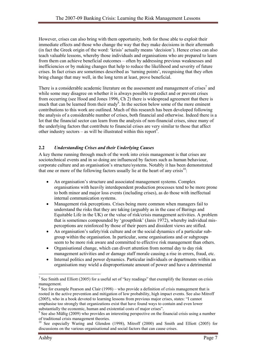However, crises can also bring with them opportunity, both for those able to exploit their immediate effects and those who change the way that they make decisions in their aftermath (in fact the Greek origin of the word: 'krisis' actually means 'decision'). Hence crises can also teach valuable lessons, whereby those individuals and organisations who are prepared to learn from them can achieve beneficial outcomes – often by addressing previous weaknesses and inefficiencies or by making changes that help to reduce the likelihood and severity of future crises. In fact crises are sometimes described as 'turning points', recognising that they often bring change that may well, in the long term at least, prove beneficial.

There is a considerable academic literature on the assessment and management of crises<sup>7</sup> and while some may disagree on whether it is always possible to predict and or prevent crises from occurring (see Hood and Jones 1996, Ch 2) there is widespread agreement that there is much that can be learned from their study<sup>8</sup>. In the section below some of the more eminent contributions to this work are outlined. Much of this research has been developed following the analysis of a considerable number of crises, both financial and otherwise. Indeed there is a lot that the financial sector can learn from the analysis of non-financial crises, since many of the underlying factors that contribute to financial crises are very similar to those that affect other industry sectors – as will be illustrated within this report<sup>9</sup>.

## 2.2 Understanding Crises and their Underlying Causes

A key theme running through much of the work into crisis management is that crises are sociotechnical events and in so doing are influenced by factors such as human behaviour, corporate culture and an organisation's structure/systems. Notably it has been demonstrated that one or more of the following factors usually lie at the heart of any crisis $^{10}$ .

- An organisation's structure and associated management systems. Complex organisations with heavily interdependent production processes tend to be more prone to both minor and major loss events (including crises), as do those with ineffectual internal communication systems.
- Management risk perceptions. Crises being more common when managers fail to understand the risks that they are taking (arguably as in the case of Barings and Equitable Life in the UK) or the value of risk/crisis management activities. A problem that is sometimes compounded by 'groupthink' (Janis 1972), whereby individual misperceptions are reinforced by those of their peers and dissident views are stifled.
- An organisation's safety/risk culture and or the social dynamics of a particular subgroup within the organisation. In particular, some organisations and or subgroups seem to be more risk aware and committed to effective risk management than others.
- Organisational change, which can divert attention from normal day to day risk management activities and or damage staff morale causing a rise in errors, fraud, etc.
- Internal politics and power dynamics. Particular individuals or departments within an organisation may wield a disproportionate amount of power and have a detrimental

 $\overline{a}$ <sup>7</sup> See Smith and Elliott (2005) for a useful set of "key readings" that exemplify the literature on crisis management.

 $8$  See for example Pearson and Clair (1998) – who provide a definition of crisis management that is rooted in the active prevention and mitigation of low probability, high impact events. See also Mitroff (2005), who in a book devoted to learning lessons from previous major crises, states: "I cannot emphasise too strongly that organizations exist that have found ways to contain and even lower substantially the economic, human and existential costs of major crises".

<sup>9</sup> See also Müßig (2009) who provides an interesting perspective on the financial crisis using a number of traditional crisis management theories.

<sup>&</sup>lt;sup>10</sup> See especially Waring and Glendon (1998), Mitroff (2000) and Smith and Elliott (2005) for discussions on the various organisational and social factors that can cause crises.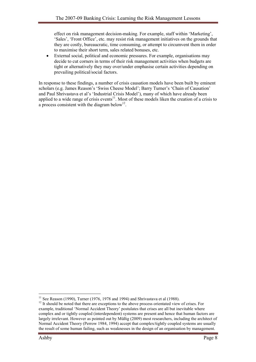effect on risk management decision-making. For example, staff within 'Marketing', 'Sales', 'Front Office', etc. may resist risk management initiatives on the grounds that they are costly, bureaucratic, time consuming, or attempt to circumvent them in order to maximise their short term, sales related bonuses, etc.

• External social, political and economic pressures. For example, organisations may decide to cut corners in terms of their risk management activities when budgets are tight or alternatively they may over/under emphasise certain activities depending on prevailing political/social factors.

In response to these findings, a number of crisis causation models have been built by eminent scholars (e.g. James Reason's 'Swiss Cheese Model'; Barry Turner's 'Chain of Causation' and Paul Shrivastava et al's 'Industrial Crisis Model'), many of which have already been applied to a wide range of crisis events<sup>11</sup>. Most of these models liken the creation of a crisis to a process consistent with the diagram below<sup>12</sup>.

 $\overline{a}$ <sup>11</sup> See Reason (1990), Turner (1976, 1978 and 1994) and Shrivastava et al (1988).

<sup>&</sup>lt;sup>12</sup> It should be noted that there are exceptions to the above process orientated view of crises. For example, traditional 'Normal Accident Theory' postulates that crises are all but inevitable where complex and or tightly coupled (interdependent) systems are present and hence that human factors are largely irrelevant. However as pointed out by Müßig (2009) most researchers, including the architect of Normal Accident Theory (Perrow 1984, 1994) accept that complex/tightly coupled systems are usually the result of some human failing, such as weaknesses in the design of an organisation by management.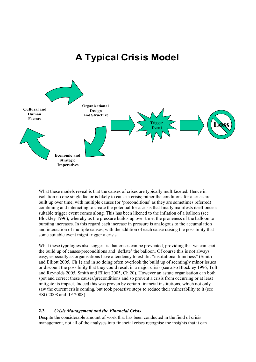## A Typical Crisis Model



What these models reveal is that the causes of crises are typically multifaceted. Hence in isolation no one single factor is likely to cause a crisis; rather the conditions for a crisis are built up over time, with multiple causes (or 'preconditions' as they are sometimes referred) combining and interacting to create the potential for a crisis that finally manifests itself once a suitable trigger event comes along. This has been likened to the inflation of a balloon (see Blockley 1996), whereby as the pressure builds up over time, the proneness of the balloon to bursting increases. In this regard each increase in pressure is analogous to the accumulation and interaction of multiple causes, with the addition of each cause raising the possibility that some suitable event might trigger a crisis.

What these typologies also suggest is that crises can be prevented, providing that we can spot the build up of causes/preconditions and 'deflate' the balloon. Of course this is not always easy, especially as organisations have a tendency to exhibit "institutional blindness" (Smith and Elliott 2005, Ch 1) and in so doing often overlook the build up of seemingly minor issues or discount the possibility that they could result in a major crisis (see also Blockley 1996, Toft and Reynolds 2005, Smith and Elliott 2005, Ch 20). However an astute organisation can both spot and correct these causes/preconditions and so prevent a crisis from occurring or at least mitigate its impact. Indeed this was proven by certain financial institutions, which not only saw the current crisis coming, but took proactive steps to reduce their vulnerability to it (see SSG 2008 and IIF 2008).

#### 2.3 Crisis Management and the Financial Crisis

Despite the considerable amount of work that has been conducted in the field of crisis management, not all of the analyses into financial crises recognise the insights that it can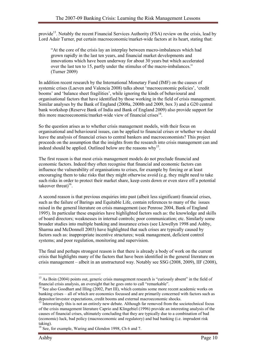provide<sup>13</sup>. Notably the recent Financial Services Authority (FSA) review on the crisis, lead by Lord Adair Turner, put certain macroeconomic/market-wide factors at its heart, stating that:

"At the core of the crisis lay an interplay between macro-imbalances which had grown rapidly in the last ten years, and financial market developments and innovations which have been underway for about 30 years but which accelerated over the last ten to 15, partly under the stimulus of the macro-imbalances." (Turner 2009)

In addition recent research by the International Monetary Fund (IMF) on the causes of systemic crises (Laeven and Valencia 2008) talks about 'macroeconomic policies', 'credit booms' and 'balance sheet fragilities', while ignoring the kinds of behavioural and organisational factors that have identified by those working in the field of crisis management. Similar analyses by the Bank of England (2008a, 2008b and 2009, box 3) and a G20 central bank workshop (Reserve Bank of India and Bank of England 2009) also provide support for this more macroeconomic/market-wide view of financial crises<sup>14</sup>.

So the question arises as to whether crisis management models, with their focus on organisational and behavioural issues, can be applied to financial crises or whether we should leave the analysis of financial crises to central bankers and macroeconomists? This project proceeds on the assumption that the insights from the research into crisis management can and indeed should be applied. Outlined below are the reasons why<sup>15</sup>.

The first reason is that most crisis management models do not preclude financial and economic factors. Indeed they often recognise that financial and economic factors can influence the vulnerability of organisations to crises, for example by forcing or at least encouraging them to take risks that they might otherwise avoid (e.g. they might need to take such risks in order to protect their market share, keep costs down or even stave off a potential takeover threat) $16$ .

A second reason is that previous enquiries into past (albeit less significant) financial crises, such as the failure of Barings and Equitable Life, contain references to many of the issues raised in the general literature on crisis management (see Penrose 2004, Bank of England 1995). In particular these enquiries have highlighted factors such as: the knowledge and skills of board directors; weaknesses in internal controls; poor communication; etc. Similarly some broader studies into multiple banking and insurance crises (see Llewellyn 1998 and Ashby, Sharma and McDonnell 2003) have highlighted that such crises are typically caused by factors such as: inappropriate incentive structures; weak management, deficient control systems; and poor regulation, monitoring and supervision.

The final and perhaps strongest reason is that there is already a body of work on the current crisis that highlights many of the factors that have been identified in the general literature on crisis management – albeit in an unstructured way. Notably see SSG (2008, 2009), IIF (2008),

 $\overline{a}$ <sup>13</sup> As Boin (2004) points out, generic crisis management research is "curiously absent" in the field of financial crisis analysis, an oversight that he goes onto to call "remarkable".

<sup>&</sup>lt;sup>14</sup> See also Goodhart and Illing (2002, Part III), which contains some more recent academic works on banking crises – all of which are economics focussed and are primarily concerned with factors such as depositor/investor expectations, credit booms and external macroeconomic shocks.

<sup>&</sup>lt;sup>15</sup> Interestingly this is not an entirely new debate. Although far removed from the sociotechnical focus of the crisis management literature Caprio and Klingebiel (1996) provide an interesting analysis of the causes of financial crises, ultimately concluding that they are typically due to a combination of bad (economic) luck, bad policy (macroeconomic and regulatory) and bad banking (i.e. imprudent risk taking).

<sup>&</sup>lt;sup>16</sup> See, for example, Waring and Glendon 1998, Ch 6 and 7.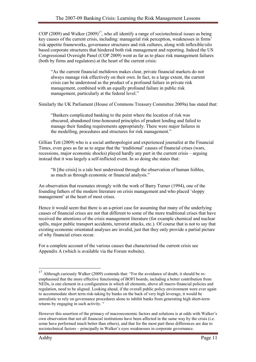COP (2009) and Walker (2009)<sup>17</sup>, who all identify a range of sociotechnical issues as being key causes of the current crisis, including: managerial risk perception, weaknesses in firms' risk appetite frameworks, governance structures and risk cultures, along with inflexible/silo based corporate structures that hindered both risk management and reporting. Indeed the US Congressional Oversight Panel (COP 2009) went as far as to place risk management failures (both by firms and regulators) at the heart of the current crisis:

"As the current financial meltdown makes clear, private financial markets do not always manage risk effectively on their own. In fact, to a large extent, the current crisis can be understood as the product of a profound failure in private risk management, combined with an equally profound failure in public risk management, particularly at the federal level."

Similarly the UK Parliament (House of Commons Treasury Committee 2009a) has stated that:

"Bankers complicated banking to the point where the location of risk was obscured, abandoned time-honoured principles of prudent lending and failed to manage their funding requirements appropriately. There were major failures in the modelling, procedures and structures for risk management."

Gillian Tett (2009) who is a social anthropologist and experienced journalist at the Financial Times, even goes as far as to argue that the 'traditional' causes of financial crises (wars, recessions, major economic shocks) played hardly any part in the current crisis – arguing instead that it was largely a self-inflicted event. In so doing she states that:

"It [the crisis] is a tale best understood through the observation of human foibles, as much as through economic or financial analysis."

An observation that resonates strongly with the work of Barry Turner (1994), one of the founding fathers of the modern literature on crisis management and who placed 'sloppy management' at the heart of most crises.

Hence it would seem that there is an a-priori case for assuming that many of the underlying causes of financial crises are not that different to some of the more traditional crises that have received the attentions of the crisis management literature (for example chemical and nuclear spills, major public transport accidents, terrorist attacks, etc.). Of course that is not to say that existing economic orientated analyses are invalid, just that they only provide a partial picture of why financial crises occur.

For a complete account of the various causes that characterised the current crisis see Appendix A (which is available via the Forum website).

 $\overline{a}$ 

 $17$  Although curiously Walker (2009) contends that: "For the avoidance of doubt, it should be reemphasised that the more effective functioning of BOFI boards, including a better contribution from NEDs, is one element in a configuration in which all elements, above all macro-financial policies and regulation, need to be aligned. Looking ahead, if the overall public policy environment were ever again to accommodate short term risk-taking by banks on the back of very high leverage, it would be unrealistic to rely on governance procedures alone to inhibit banks from generating high short-term returns by engaging in such activity. "

However this assertion of the primacy of macroeconomic factors and solutions is at odds with Walker's own observation that not all financial institutions have been affected in the same way by the crisis (i.e. some have performed much better than others), and that for the most part these differences are due to sociotechnical factors – principally in Walker's eyes weaknesses in corporate governance.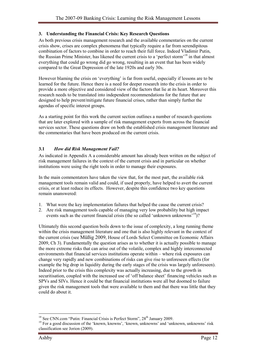## 3. Understanding the Financial Crisis: Key Research Questions

As both previous crisis management research and the available commentaries on the current crisis show, crises are complex phenomena that typically require a far from serendipitous combination of factors to combine in order to reach their full force. Indeed Vladimir Putin, the Russian Prime Minister, has likened the current crisis to a 'perfect storm'<sup>18</sup> in that almost everything that could go wrong did go wrong, resulting in an event that has been widely compared to the Great Depression of the late 1920s and early 30s.

However blaming the crisis on 'everything' is far from useful, especially if lessons are to be learned for the future. Hence there is a need for deeper research into the crisis in order to provide a more objective and considered view of the factors that lie at its heart. Moreover this research needs to be translated into independent recommendations for the future that are designed to help prevent/mitigate future financial crises, rather than simply further the agendas of specific interest groups.

As a starting point for this work the current section outlines a number of research questions that are later explored with a sample of risk management experts from across the financial services sector. These questions draw on both the established crisis management literature and the commentaries that have been produced on the current crisis.

## 3.1 How did Risk Management Fail?

As indicated in Appendix A a considerable amount has already been written on the subject of risk management failures in the context of the current crisis and in particular on whether institutions were using the right tools in order to manage their exposures.

In the main commentators have taken the view that, for the most part, the available risk management tools remain valid and could, if used properly, have helped to avert the current crisis, or at least reduce its effects. However, despite this confidence two key questions remain unanswered:

- 1. What were the key implementation failures that helped the cause the current crisis?
- 2. Are risk management tools capable of managing very low probability but high impact events such as the current financial crisis (the so called 'unknown unknowns'<sup>19</sup>)?

Ultimately this second question boils down to the issue of complexity, a long running theme within the crisis management literature and one that is also highly relevant in the context of the current crisis (see Müßig 2009, House of Lords Select Committee on Economic Affairs 2009, Ch 3). Fundamentally the question arises as to whether it is actually possible to manage the more extreme risks that can arise out of the volatile, complex and highly interconnected environments that financial services institutions operate within – where risk exposures can change very rapidly and new combinations of risks can give rise to unforeseen effects (for example the big drop in liquidity during the early stages of the crisis was largely unforeseen). Indeed prior to the crisis this complexity was actually increasing, due to the growth in securitisation, coupled with the increased use of 'off balance sheet' financing vehicles such as SPVs and SIVs. Hence it could be that financial institutions were all but doomed to failure given the risk management tools that were available to them and that there was little that they could do about it.

 $\overline{a}$  $18$  See CNN.com "Putin: Financial Crisis is Perfect Storm",  $28<sup>th</sup>$  January 2009.

<sup>&</sup>lt;sup>19</sup> For a good discussion of the 'known, knowns', 'known, unknowns' and 'unknown, unknowns' risk classification see Jorion (2009).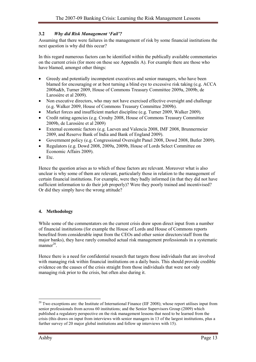## 3.2 Why did Risk Management 'Fail'?

Assuming that there were failures in the management of risk by some financial institutions the next question is why did this occur?

In this regard numerous factors can be identified within the publically available commentaries on the current crisis (for more on these see Appendix A). For example there are those who have blamed, amongst other things:

- Greedy and potentially incompetent executives and senior managers, who have been blamed for encouraging or at best turning a blind eye to excessive risk taking (e.g. ACCA 2008a&b, Turner 2009, House of Commons Treasury Committee 2009a, 2009b, de Larosière et al 2009).
- Non executive directors, who may not have exercised effective oversight and challenge (e.g. Walker 2009, House of Commons Treasury Committee 2009b).
- Market forces and insufficient market discipline (e.g. Turner 2009, Walker 2009).
- Credit rating agencies (e.g. Crouhy 2008, House of Commons Treasury Committee 2009b, de Larosière et al 2009)
- External economic factors (e.g. Laeven and Valencia 2008, IMF 2008, Brunnermeier 2009, and Reserve Bank of India and Bank of England 2009).
- Government policy (e.g. Congressional Oversight Panel 2008, Dowd 2008, Butler 2009).
- Regulators (e.g. Dowd 2008, 2009a, 2009b, House of Lords Select Committee on Economic Affairs 2009).
- Etc.

Hence the question arises as to which of these factors are relevant. Moreover what is also unclear is why some of them are relevant, particularly those in relation to the management of certain financial institutions. For example, were they badly informed (in that they did not have sufficient information to do their job properly)? Were they poorly trained and incentivised? Or did they simply have the wrong attitude?

## 4. Methodology

While some of the commentators on the current crisis draw upon direct input from a number of financial institutions (for example the House of Lords and House of Commons reports benefited from considerable input from the CEOs and other senior directors/staff from the major banks), they have rarely consulted actual risk management professionals in a systematic  $manner<sup>20</sup>$ .

Hence there is a need for confidential research that targets those individuals that are involved with managing risk within financial institutions on a daily basis. This should provide credible evidence on the causes of the crisis straight from those individuals that were not only managing risk prior to the crisis, but often also during it.

 $\overline{a}$  $20$  Two exceptions are: the Institute of International Finance (IIF 2008); whose report utilises input from senior professionals from across 60 institutions; and the Senior Supervisors Group (2009) which published a regulatory perspective on the risk management lessons that need to be learned from the crisis (this draws on input from interviews with senior managers in 13 of the largest institutions, plus a further survey of 20 major global institutions and follow up interviews with 15).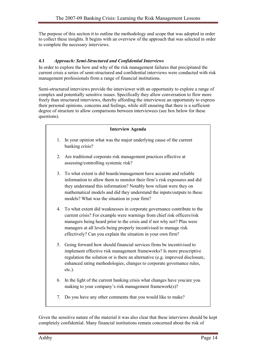The purpose of this section it to outline the methodology and scope that was adopted in order to collect these insights. It begins with an overview of the approach that was selected in order to complete the necessary interviews.

## 4.1 Approach: Semi-Structured and Confidential Interviews

In order to explore the how and why of the risk management failures that precipitated the current crisis a series of semi-structured and confidential interviews were conducted with risk management professionals from a range of financial institutions.

Semi-structured interviews provide the interviewer with an opportunity to explore a range of complex and potentially sensitive issues. Specifically they allow conversation to flow more freely than structured interviews, thereby affording the interviewee an opportunity to express their personal opinions, concerns and feelings, while still ensuring that there is a sufficient degree of structure to allow comparisons between interviewees (see box below for these questions).

## Interview Agenda 1. In your opinion what was the major underlying cause of the current banking crisis? 2. Are traditional corporate risk management practices effective at assessing/controlling systemic risk? 3. To what extent is did boards/management have accurate and reliable information to allow them to monitor their firm's risk exposures and did they understand this information? Notably how reliant were they on mathematical models and did they understand the inputs/outputs to these models? What was the situation in your firm? 4. To what extent did weaknesses in corporate governance contribute to the current crisis? For example were warnings from chief risk officers/risk managers being heard prior to the crisis and if not why not? Plus were managers at all levels being properly incentivised to manage risk effectively? Can you explain the situation in your own firm? 5. Going forward how should financial services firms be incentivised to implement effective risk management frameworks? Is more prescriptive regulation the solution or is there an alternative (e.g. improved disclosure, enhanced rating methodologies, changes to corporate governance rules, etc.). 6. In the light of the current banking crisis what changes have you/are you making to your company's risk management framework(s)? 7. Do you have any other comments that you would like to make?

Given the sensitive nature of the material it was also clear that these interviews should be kept completely confidential. Many financial institutions remain concerned about the risk of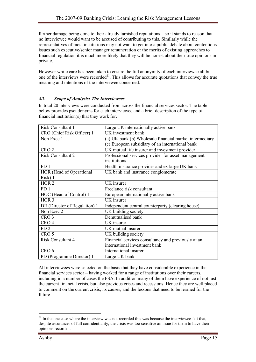further damage being done to their already tarnished reputations – so it stands to reason that no interviewee would want to be accused of contributing to this. Similarly while the representatives of most institutions may not want to get into a public debate about contentious issues such executive/senior manager remuneration or the merits of existing approaches to financial regulation it is much more likely that they will be honest about their true opinions in private.

However while care has been taken to ensure the full anonymity of each interviewee all but one of the interviews were recorded<sup>21</sup>. This allows for accurate quotations that convey the true meaning and intentions of the interviewee concerned.

## 4.2 Scope of Analysis: The Interviewees

In total 20 interviews were conducted from across the financial services sector. The table below provides pseudonyms for each interviewee and a brief description of the type of financial institution(s) that they work for.

| <b>Risk Consultant 1</b>      | Large UK internationally active bank                    |
|-------------------------------|---------------------------------------------------------|
| CRO (Chief Risk Officer) 1    | UK investment bank                                      |
| Non Exec 1                    | (a) UK bank (b) Wholesale financial market intermediary |
|                               | (c) European subsidiary of an international bank        |
| CRO <sub>2</sub>              | UK mutual life insurer and investment provider          |
| <b>Risk Consultant 2</b>      | Professional services provider for asset management     |
|                               | institutions                                            |
| FD <sub>1</sub>               | Health insurance provider and ex large UK bank          |
| HOR (Head of Operational      | UK bank and insurance conglomerate                      |
| Risk) 1                       |                                                         |
| HOR <sub>2</sub>              | UK insurer                                              |
| FD <sub>1</sub>               | Freelance risk consultant                               |
| HOC (Head of Control) 1       | European internationally active bank                    |
| HOR <sub>3</sub>              | UK insurer                                              |
| DR (Director of Regulation) 1 | Independent central counterparty (clearing house)       |
| Non Exec 2                    | UK building society                                     |
| CRO <sub>3</sub>              | Demutualised bank                                       |
| CRO <sub>4</sub>              | UK insurer                                              |
| FD <sub>2</sub>               | UK mutual insurer                                       |
| CRO <sub>5</sub>              | UK building society                                     |
| <b>Risk Consultant 4</b>      | Financial services consultancy and previously at an     |
|                               | international investment bank                           |
| CRO <sub>6</sub>              | International insurer                                   |
| PD (Programme Director) 1     | Large UK bank                                           |

All interviewees were selected on the basis that they have considerable experience in the financial services sector – having worked for a range of institutions over their careers, including in a number of cases the FSA. In addition many of them have experience of not just the current financial crisis, but also previous crises and recessions. Hence they are well placed to comment on the current crisis, its causes, and the lessons that need to be learned for the future.

 $\overline{a}$  $21$  In the one case where the interview was not recorded this was because the interviewee felt that, despite assurances of full confidentiality, the crisis was too sensitive an issue for them to have their opinions recorded.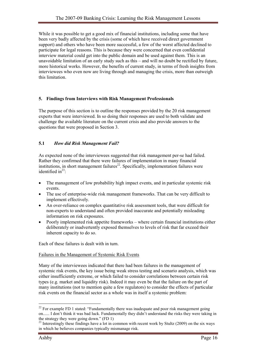While it was possible to get a good mix of financial institutions, including some that have been very badly affected by the crisis (some of which have received direct government support) and others who have been more successful, a few of the worst affected declined to participate for legal reasons. This is because they were concerned that even confidential interview material could get into the public domain and be used against them. This is an unavoidable limitation of an early study such as this – and will no doubt be rectified by future, more historical works. However, the benefits of current study, in terms of fresh insights from interviewees who even now are living through and managing the crisis, more than outweigh this limitation.

## 5. Findings from Interviews with Risk Management Professionals

The purpose of this section is to outline the responses provided by the 20 risk management experts that were interviewed. In so doing their responses are used to both validate and challenge the available literature on the current crisis and also provide answers to the questions that were proposed in Section 3.

## 5.1 How did Risk Management Fail?

As expected none of the interviewees suggested that risk management per-se had failed. Rather they confirmed that there were failures of implementation in many financial institutions, in short management failures<sup>22</sup>. Specifically, implementation failures were identified in $^{23}$ .

- The management of low probability high impact events, and in particular systemic risk events.
- The use of enterprise-wide risk management frameworks. That can be very difficult to implement effectively.
- An over-reliance on complex quantitative risk assessment tools, that were difficult for non-experts to understand and often provided inaccurate and potentially misleading information on risk exposures.
- Poorly implemented risk appetite frameworks where certain financial institutions either deliberately or inadvertently exposed themselves to levels of risk that far exceed their inherent capacity to do so.

Each of these failures is dealt with in turn.

#### Failures in the Management of Systemic Risk Events

Many of the interviewees indicated that there had been failures in the management of systemic risk events, the key issue being weak stress testing and scenario analysis, which was either insufficiently extreme, or which failed to consider correlations between certain risk types (e.g. market and liquidity risk). Indeed it may even be that the failure on the part of many institutions (not to mention quite a few regulators) to consider the effects of particular risk events on the financial sector as a whole was in itself a systemic problem:

 $\overline{a}$  $22$  For example FD 1 stated: "Fundamentally there was inadequate and poor risk management going on...... I don't think it was bad luck. Fundamentally they didn't understand the risks they were taking in the strategy they were going down." (FD 1)

<sup>&</sup>lt;sup>23</sup> Interestingly these findings have a lot in common with recent work by Stultz (2009) on the six ways in which he believes companies typically mismanage risk.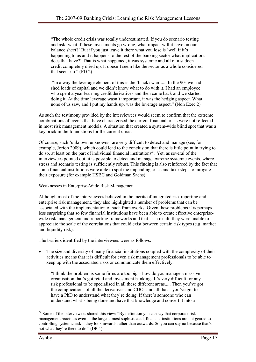"The whole credit crisis was totally underestimated. If you do scenario testing and ask 'what if these investments go wrong, what impact will it have on our balance sheet?' But if you just leave it there what you lose is 'well if it's happening to us and it happens to the rest of the banking sector what implications does that have?' That is what happened, it was systemic and all of a sudden credit completely dried up. It doesn't seem like the sector as a whole considered that scenario." (FD 2)

 "In a way the leverage element of this is the 'black swan'..... In the 90s we had shed loads of capital and we didn't know what to do with it. I had an employee who spent a year learning credit derivatives and then came back and we started doing it. At the time leverage wasn't important, it was the hedging aspect. What none of us saw, and I put my hands up, was the leverage aspect." (Non Exec 2)

As such the testimony provided by the interviewees would seem to confirm that the extreme combinations of events that have characterised the current financial crisis were not reflected in most risk management models. A situation that created a system-wide blind spot that was a key brick in the foundations for the current crisis.

Of course, such 'unknown unknowns' are very difficult to detect and manage (see, for example, Jorion 2009), which could lead to the conclusion that there is little point in trying to do so, at least on the part of individual financial institutions<sup>24</sup>. Yet, as several of the interviewees pointed out, it is possible to detect and manage extreme systemic events, where stress and scenario testing is sufficiently robust. This finding is also reinforced by the fact that some financial institutions were able to spot the impending crisis and take steps to mitigate their exposure (for example HSBC and Goldman Sachs).

## Weaknesses in Enterprise-Wide Risk Management

Although most of the interviewees believed in the merits of integrated risk reporting and enterprise risk management, they also highlighted a number of problems that can be associated with the implementation of such frameworks. Given these problems it is perhaps less surprising that so few financial institutions have been able to create effective enterprisewide risk management and reporting frameworks and that, as a result, they were unable to appreciate the scale of the correlations that could exist between certain risk types (e.g. market and liquidity risk).

The barriers identified by the interviewees were as follows:

• The size and diversity of many financial institutions coupled with the complexity of their activities means that it is difficult for even risk management professionals to be able to keep up with the associated risks or communicate them effectively.

"I think the problem is some firms are too big – how do you manage a massive organisation that's got retail and investment banking? It's very difficult for any risk professional to be specialised in all these different areas..... Then you've got the complications of all the derivatives and CDOs and all that – you've got to have a PhD to understand what they're doing. If there's someone who can understand what's being done and have that knowledge and convert it into a

 $\overline{a}$ 

<sup>&</sup>lt;sup>24</sup> Some of the interviewees shared this view: "By definition you can say that corporate risk management practices even in the largest, most sophisticated, financial institutions are not geared to controlling systemic risk – they look inwards rather than outwards. So you can say no because that's not what they're there to do." (DR 1)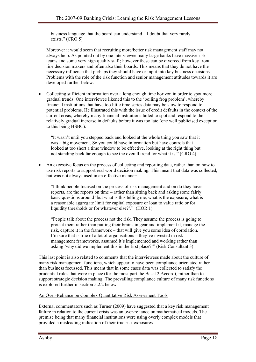business language that the board can understand – I doubt that very rarely exists." (CRO 5)

Moreover it would seem that recruiting more/better risk management staff may not always help. As pointed out by one interviewee many large banks have massive risk teams and some very high quality staff; however these can be divorced from key front line decision makers and often also their boards. This means that they do not have the necessary influence that perhaps they should have or input into key business decisions. Problems with the role of the risk function and senior management attitudes towards it are developed further below.

• Collecting sufficient information over a long enough time horizon in order to spot more gradual trends. One interviewee likened this to the 'boiling frog problem', whereby financial institutions that have too little time series data may be slow to respond to potential problems. He illustrated this with the issue of credit defaults in the context of the current crisis, whereby many financial institutions failed to spot and respond to the relatively gradual increase in defaults before it was too late (one well publicised exception to this being HSBC):

"It wasn't until you stepped back and looked at the whole thing you saw that it was a big movement. So you could have information but have controls that looked at too short a time window to be effective, looking at the right thing but not standing back far enough to see the overall trend for what it is." (CRO 4)

• An excessive focus on the process of collecting and reporting data, rather than on how to use risk reports to support real world decision making. This meant that data was collected, but was not always used in an effective manner:

"I think people focused on the process of risk management and on do they have reports, are the reports on time – rather than sitting back and asking some fairly basic questions around 'but what is this telling me, what is the exposure, what is a reasonable aggregate limit for capital exposure or loan to value ratio or for liquidity thresholds or for whatever else?'." (HOR 1)

"People talk about the process not the risk. They assume the process is going to protect them rather than putting their brains in gear and implement it, manage the risk, capture it in the framework – that will give you some idea of correlation. I'm sure that is true of a lot of organisations – they've invested in risk management frameworks, assumed it's implemented and working rather than asking 'why did we implement this in the first place?'" (Risk Consultant 3)

This last point is also related to comments that the interviewees made about the culture of many risk management functions, which appear to have been compliance orientated rather than business focussed. This meant that in some cases data was collected to satisfy the prudential rules that were in place (for the most part the Basel 2 Accord), rather than to support strategic decision making. The prevailing compliance culture of many risk functions is explored further in section 5.2.2 below.

## An Over-Reliance on Complex Quantitative Risk Assessment Tools

External commentators such as Turner (2009) have suggested that a key risk management failure in relation to the current crisis was an over-reliance on mathematical models. The premise being that many financial institutions were using overly complex models that provided a misleading indication of their true risk exposures.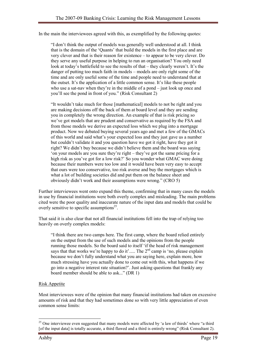In the main the interviewees agreed with this, as exemplified by the following quotes:

"I don't think the output of models was generally well understood at all. I think that is the domain of the 'Quants' that build the models in the first place and are very clever and that is their reason for existence – to appear to be very clever. Do they serve any useful purpose in helping to run an organisation? You only need look at today's battlefield to see the results of that – they clearly weren't. It's the danger of putting too much faith in models – models are only right some of the time and are only useful some of the time and people need to understand that at the outset. It's the application of a little common sense. It's like these people who use a sat-nav when they're in the middle of a pond – just look up once and you'll see the pond in front of you." (Risk Consultant 2)

"It wouldn't take much for those [mathematical] models to not be right and you are making decisions off the back of them at board level and they are sending you in completely the wrong direction. An example of that is risk pricing so we've got models that are prudent and conservative as required by the FSA and from those models we derive an expected loss which we plug into a mortgage product. Now we debated buying several years ago and met a few of the GMACs of this world and said what's your expected loss and they just gave us a number but couldn't validate it and you question have we got it right, have they got it right? We didn't buy because we didn't believe them and the board was saying 'on your models are you sure they're right – they've got the same pricing for a high risk as you've got for a low risk?' So you wonder what GMAC were doing because their numbers were too low and it would have been very easy to accept that ours were too conservative, too risk averse and buy the mortgages which is what a lot of building societies did and put them on the balance sheet and obviously didn't work and their assumptions were wrong." (CRO 5)

Further interviewees went onto expand this theme, confirming that in many cases the models in use by financial institutions were both overly complex and misleading. The main problems cited were the poor quality and inaccurate nature of the input data and models that could be overly sensitive to specific assumptions<sup>25</sup>.

That said it is also clear that not all financial institutions fell into the trap of relying too heavily on overly complex models:

"I think there are two camps here. The first camp, where the board relied entirely on the output from the use of such models and the opinions from the people running those models. So the board said to itself 'if the head of risk management says that that works we're happy to do it'..... The 2<sup>nd</sup> camp is 'no, please explain because we don't fully understand what you are saying here, explain more, how much stressing have you actually done to come out with this, what happens if we go into a negative interest rate situation?'. Just asking questions that frankly any board member should be able to ask..." (DR 1)

## Risk Appetite

Most interviewees were of the opinion that many financial institutions had taken on excessive amounts of risk and that they had sometimes done so with very little appreciation of even common sense limits:

 $\overline{a}$  $25$  One interviewee even suggested that many models were affected by 'a law of thirds' where "a third [of the input data] is totally accurate, a third flawed and a third is entirely wrong" (Risk Consultant 2).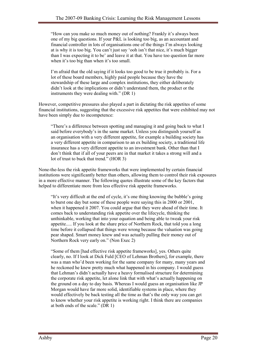"How can you make so much money out of nothing? Frankly it's always been one of my big questions. If your P&L is looking too big, as an accountant and financial controller in lots of organisations one of the things I'm always looking at is why it is too big. You can't just say 'ooh isn't that nice, it's much bigger than I was expecting it to be' and leave it at that. You have too question far more when it's too big than when it's too small.

I'm afraid that the old saying if it looks too good to be true it probably is. For a lot of these board members, highly paid people because they have the stewardship of these large and complex institutions, they either deliberately didn't look at the implications or didn't understand them, the product or the instruments they were dealing with." (DR 1)

However, competitive pressures also played a part in dictating the risk appetites of some financial institutions, suggesting that the excessive risk appetites that were exhibited may not have been simply due to incompetence:

"There's a difference between spotting and managing it and going back to what I said before everybody's in the same market. Unless you distinguish yourself as an organisation with a very different appetite, for example a building society has a very different appetite in comparison to an ex building society, a traditional life insurance has a very different appetite to an investment bank. Other than that I don't think that if all of your peers are in that market it takes a strong will and a lot of trust to buck that trend." (HOR 3)

None-the-less the risk appetite frameworks that were implemented by certain financial institutions were significantly better than others, allowing them to control their risk exposures in a more effective manner. The following quotes illustrate some of the key factors that helped to differentiate more from less effective risk appetite frameworks.

"It's very difficult at the end of cycle, it's one thing knowing the bubble's going to burst one day but some of these people were saying this in 2000 or 2001, when it happened it 2007. You could argue that they were ahead of their time. It comes back to understanding risk appetite over the lifecycle, thinking the unthinkable, working that into your equation and being able to tweak your risk appetite..... If you look at the share price of Northern Rock, that told you a long time before it collapsed that things were wrong because the valuation was going pear shaped. Smart money knew and was actually pulling their money out of Northern Rock very early on." (Non Exec 2)

"Some of them [had effective risk appetite frameworks], yes. Others quite clearly, no. If I look at Dick Fuld [CEO of Lehman Brothers], for example, there was a man who'd been working for the same company for many, many years and he reckoned he knew pretty much what happened in his company. I would guess that Lehman's didn't actually have a heavy formalised structure for determining the corporate risk appetite, let alone link that with what's actually happening on the ground on a day to day basis. Whereas I would guess an organisation like JP Morgan would have far more solid, identifiable systems in place, where they would effectively be back testing all the time as that's the only way you can get to know whether your risk appetite is working right. I think there are companies at both ends of the scale." (DR 1)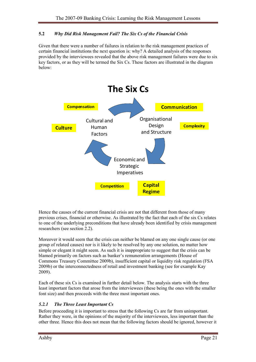## 5.2 Why Did Risk Management Fail? The Six Cs of the Financial Crisis

Given that there were a number of failures in relation to the risk management practices of certain financial institutions the next question is: why? A detailed analysis of the responses provided by the interviewees revealed that the above risk management failures were due to six key factors, or as they will be termed the Six Cs. These factors are illustrated in the diagram below:



Hence the causes of the current financial crisis are not that different from those of many previous crises, financial or otherwise. As illustrated by the fact that each of the six Cs relates to one of the underlying preconditions that have already been identified by crisis management researchers (see section 2.2).

Moreover it would seem that the crisis can neither be blamed on any one single cause (or one group of related causes) nor is it likely to be resolved by any one solution, no matter how simple or elegant it might seem. As such it is inappropriate to suggest that the crisis can be blamed primarily on factors such as banker's remuneration arrangements (House of Commons Treasury Committee 2009b), insufficient capital or liquidity risk regulation (FSA 2009b) or the interconnectedness of retail and investment banking (see for example Kay 2009).

Each of these six Cs is examined in further detail below. The analysis starts with the three least important factors that arose from the interviewees (these being the ones with the smaller font size) and then proceeds with the three most important ones.

## 5.2.1 The Three Least Important Cs

Before proceeding it is important to stress that the following Cs are far from unimportant. Rather they were, in the opinions of the majority of the interviewees, less important than the other three. Hence this does not mean that the following factors should be ignored, however it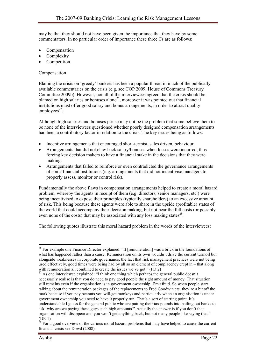may be that they should not have been given the importance that they have by some commentators. In no particular order of importance these three Cs are as follows:

- Compensation
- Complexity
- **Competition**

#### **Compensation**

Blaming the crisis on 'greedy' bankers has been a popular thread in much of the publically available commentaries on the crisis (e.g. see COP 2009, House of Commons Treasury Committee 2009b). However, not all of the interviewees agreed that the crisis should be blamed on high salaries or bonuses alone<sup>26</sup>, moreover it was pointed out that financial institutions must offer good salary and bonus arrangements, in order to attract quality  $employees<sup>27</sup>$ .

Although high salaries and bonuses per-se may not be the problem that some believe them to be none of the interviewees questioned whether poorly designed compensation arrangements had been a contributory factor in relation to the crisis. The key issues being as follows:

- Incentive arrangements that encouraged short-termist, sales driven, behaviour.
- Arrangements that did not claw back salary/bonuses when losses were incurred, thus forcing key decision makers to have a financial stake in the decisions that they were making.
- Arrangements that failed to reinforce or even contradicted the governance arrangements of some financial institutions (e.g. arrangements that did not incentivise managers to properly assess, monitor or control risk).

Fundamentally the above flaws in compensation arrangements helped to create a moral hazard problem, whereby the agents in receipt of them (e.g. directors, senior managers, etc.) were being incentivised to expose their principles (typically shareholders) to an excessive amount of risk. This being because these agents were able to share in the upside (profitable) states of the world that could accompany their decision making, but not bear the full costs (or possibly even none of the costs) that may be associated with any loss making states $28$ .

The following quotes illustrate this moral hazard problem in the words of the interviewees:

 $\overline{a}$ <sup>26</sup> For example one Finance Director explained: "It [remuneration] was a brick in the foundations of what has happened rather than a cause. Remuneration on its own wouldn't drive the current turmoil but alongside weaknesses in corporate governance, the fact that risk management practices were not being used effectively, good times were being had by all so an element of complacency crept in – that along with remuneration all combined to create the issues we've got." (FD 2)

 $27$  As one interviewee explained: "I think one thing which perhaps the general public doesn't necessarily realise is that you do need to pay good people the right amount of money. That situation still remains even if the organisation is in government ownership, I'm afraid. So when people start talking about the remuneration packages of the replacements to Fred Goodwin etc. they're a bit off the mark because if you pay peanuts you will get monkeys and particularly when an organisation is under government ownership you need to have it properly run. That's a sort of starting point. It's understandable I guess for the general public who are putting their tax pounds into bailing out banks to ask 'why are we paying these guys such high amounts?' Actually the answer is if you don't that organisation will disappear and you won't get anything back, but not many people like saying that." (DR 1)

 $28$  For a good overview of the various moral hazard problems that may have helped to cause the current financial crisis see Dowd (2008).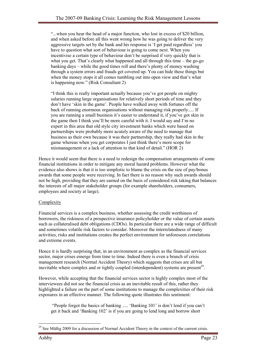"...when you hear the head of a major function, who lost in excess of \$20 billion, and when asked before all this went wrong how he was going to deliver the very aggressive targets set by the bank and his response is 'I get paid regardless' you have to question what sort of behaviour is going to come next. When you incentivise a certain type of behaviour don't be surprised if very quickly that is what you get. That's clearly what happened and all through this time – the go-go banking days – while the good times roll and there's plenty of money washing through a system errors and frauds get covered up. You can hide these things but when the money stops it all comes tumbling out into open view and that's what is happening now." (Risk Consultant 2)

"I think this is really important actually because you've got people on mighty salaries running large organisations for relatively short periods of time and they don't have 'skin in the game'. People have walked away with fortunes off the back of running enormous organisations without managing risk properly..... If you are running a small business it's easier to understand it, if you've got skin in the game then I think you'll be more careful with it. I would say and I'm no expert in this area that old style city investment banks which were based on partnerships were probably more acutely aware of the need to manage that business as their own because it was their partnership, they really had skin in the game whereas when you get corporates I just think there's more scope for mismanagement or a lack of attention to that kind of detail." (HOR 2)

Hence it would seem that there is a need to redesign the compensation arrangements of some financial institutions in order to mitigate any moral hazard problems. However what the evidence also shows is that it is too simplistic to blame the crisis on the size of pay/bonus awards that some people were receiving. In fact there is no reason why such awards should not be high, providing that they are earned on the basis of considered risk taking that balances the interests of all major stakeholder groups (for example shareholders, consumers, employees and society at large).

## Complexity

Financial services is a complex business, whether assessing the credit worthiness of borrowers, the riskiness of a prospective insurance policyholder or the value of certain assets such as collateralised debt obligations (CDOs). In particular there are a wide range of difficult and sometimes volatile risk factors to consider. Moreover the interrelatedness of many activities, risks and institutions creates the perfect environment for unforeseen correlations and extreme events.

Hence it is hardly surprising that, in an environment as complex as the financial services sector, major crises emerge from time to time. Indeed there is even a branch of crisis management research (Normal Accident Theory) which suggests that crises are all but inevitable where complex and or tightly coupled (interdependent) systems are present<sup>29</sup>.

However, while accepting that the financial services sector is highly complex most of the interviewees did not see the financial crisis as an inevitable result of this, rather they highlighted a failure on the part of some institutions to manage the complexities of their risk exposures in an effective manner. The following quote illustrates this sentiment:

 "People forgot the basics of banking ..... 'Banking 101' is don't lend if you can't get it back and 'Banking 102' is if you are going to lend long and borrow short

 $\overline{a}$  $29$  See Müßig 2009 for a discussion of Normal Accident Theory in the context of the current crisis.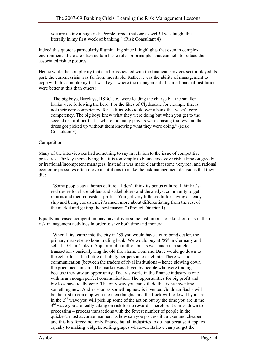you are taking a huge risk. People forgot that one as well! I was taught this literally in my first week of banking." (Risk Consultant 4)

Indeed this quote is particularly illuminating since it highlights that even in complex environments there are often certain basic rules or principles that can help to reduce the associated risk exposures.

Hence while the complexity that can be associated with the financial services sector played its part, the current crisis was far from inevitable. Rather it was the ability of management to cope with this complexity that was key – where the management of some financial institutions were better at this than others:

"The big boys, Barclays, HSBC etc., were leading the charge but the smaller banks were following the herd. For the likes of Clydesdale for example that is not their core competency, for Halifax who took over a bank that wasn't core competency. The big boys knew what they were doing but when you get to the second or third tier that is where too many players were chasing too few and the dross got picked up without them knowing what they were doing." (Risk Consultant 3)

## **Competition**

Many of the interviewees had something to say in relation to the issue of competitive pressures. The key theme being that it is too simple to blame excessive risk taking on greedy or irrational/incompetent managers. Instead it was made clear that some very real and rational economic pressures often drove institutions to make the risk management decisions that they did:

 "Some people say a bonus culture – I don't think its bonus culture, I think it's a real desire for shareholders and stakeholders and the analyst community to get returns and their consistent profits. You get very little credit for having a steady ship and being consistent, it's much more about differentiating from the rest of the market and getting the best margin." (Project Director 1)

Equally increased competition may have driven some institutions to take short cuts in their risk management activities in order to save both time and money:

"When I first came into the city in '85 you would have a euro bond dealer, the primary market euro bond trading bank. We would buy at '89' in Germany and sell at '101' in Tokyo. A quarter of a million bucks was made in a single transaction - basically ring the old fire alarm, Tom and Dave would go down to the cellar for half a bottle of bubbly per person to celebrate. There was no communication [between the traders of rival institutions – hence slowing down the price mechanism]. The market was driven by people who were trading because they saw an opportunity. Today's world in the finance industry is one with near enough perfect communication. The opportunities for big profit and big loss have really gone. The only way you can still do that is by inventing something new. And as soon as something new is invented Goldman Sachs will be the first to come up with the idea (laughs) and the flock will follow. If you are in the  $2<sup>nd</sup>$  wave you will pick up some of the action but by the time you are in the 3<sup>rd</sup> wave you are really taking on risk for no reward. Therefore it comes down to processing – process transactions with the fewest number of people in the quickest, most accurate manner. Its how can you process it quicker and cheaper and this has forced not only finance but all industries to do that because it applies equally to making widgets, selling grapes whatever. Its how can you get the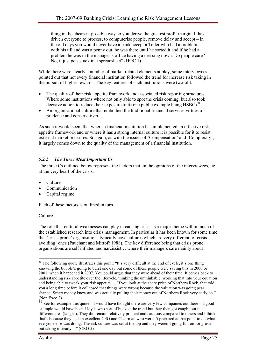thing in the cheapest possible way so you derive the greatest profit margin. It has driven everyone to process, to computerise people, remove delay and accept – in the old days you would never have a bank accept a Teller who had a problem with his till and was a penny out, he was there until he sorted it and if he had a problem he was in the manager's office having a dressing down. Do people care? No, it just gets stuck in a spreadsheet" (HOC 1)

While there were clearly a number of market related elements at play, some interviewees pointed out that not every financial institution followed the trend for increase risk taking in the pursuit of higher rewards. The key features of such institutions were twofold:

- The quality of their risk appetite framework and associated risk reporting structures. Where some institutions where not only able to spot the crisis coming, but also took decisive action to reduce their exposure to it (one public example being  $HSEO$ <sup>30</sup>.
- An organisational culture that embodied the traditional financial services virtues of prudence and conservatism<sup>31</sup>.

As such it would seem that where a financial institution has implemented an effective risk appetite framework and or where it has a strong internal culture it is possible for it to resist external market pressures. So again, as with the issues of 'Compensation' and 'Complexity', it largely comes down to the quality of the management of a financial institution.

## 5.2.2 The Three Most Important Cs

The three Cs outlined below represent the factors that, in the opinions of the interviewees, lie at the very heart of the crisis:

- Culture
- **Communication**
- Capital regime

Each of these factors is outlined in turn.

## **Culture**

The role that cultural weaknesses can play in causing crises is a major theme within much of the established research into crisis management. In particular it has been known for some time that 'crisis prone' organisations typically have cultures which are very different to 'crisis avoiding' ones (Pauchant and Mitroff 1988). The key difference being that crisis prone organisations are self inflated and narcissistic, where their managers care mainly about

 $\overline{a}$  $30$  The following quote illustrates this point: "It's very difficult at the end of cycle, it's one thing knowing the bubble's going to burst one day but some of these people were saying this in 2000 or 2001, when it happened it 2007. You could argue that they were ahead of their time. It comes back to understanding risk appetite over the lifecycle, thinking the unthinkable, working that into your equation and being able to tweak your risk appetite..... If you look at the share price of Northern Rock, that told you a long time before it collapsed that things were wrong because the valuation was going pear shaped. Smart money knew and was actually pulling their money out of Northern Rock very early on." (Non Exec 2)

 $31$  See for example this quote: "I would have thought there are very few companies out there – a good example would have been Lloyds who sort of bucked the trend but they then got caught out in a different area (laughs). They did remain relatively prudent and cautious compared to others and I think that's because they had an excellent CEO and Chairman who weren't prepared at that point to do what everyone else was doing. The risk culture was set at the top and they weren't going full on for growth but taking it steady...." (CRO 5)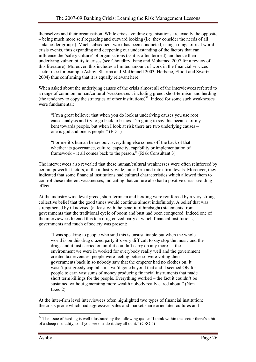themselves and their organisation. While crisis avoiding organisations are exactly the opposite – being much more self regarding and outward looking (i.e. they consider the needs of all stakeholder groups). Much subsequent work has been conducted, using a range of real world crisis events, thus expanding and deepening our understanding of the factors that can influence the 'safety culture' of organisations (as it is often termed) and hence their underlying vulnerability to crises (see Choudhry, Fang and Mohamed 2007 for a review of this literature). Moreover, this includes a limited amount of work in the financial services sector (see for example Ashby, Sharma and McDonnell 2003, Herbane, Elliott and Swartz 2004) thus confirming that it is equally relevant here.

When asked about the underlying causes of the crisis almost all of the interviewees referred to a range of common human/cultural 'weaknesses', including greed, short-termism and herding (the tendency to copy the strategies of other institutions)<sup>32</sup>. Indeed for some such weaknesses were fundamental:

"I'm a great believer that when you do look at underlying causes you use root cause analysis and try to go back to basics. I'm going to say this because of my bent towards people, but when I look at risk there are two underlying causes – one is god and one is people." (FD 1)

"For me it's human behaviour. Everything else comes off the back of that whether its governance, culture, capacity, capability or implementation of framework – it all comes back to the person." (Risk Consultant 3)

The interviewees also revealed that these human/cultural weaknesses were often reinforced by certain powerful factors, at the industry-wide, inter-firm and intra-firm levels. Moreover, they indicated that some financial institutions had cultural characteristics which allowed them to control these inherent weaknesses, indicating that culture also had a positive crisis avoiding effect.

At the industry wide level greed, short termism and herding were reinforced by a very strong collective belief that the good times would continue almost indefinitely. A belief that was strengthened by ill advised (at least with the benefit of hindsight) statements from governments that the traditional cycle of boom and bust had been conquered. Indeed one of the interviewees likened this to a drug crazed party at which financial institutions, governments and much of society was present:

"I was speaking to people who said this is unsustainable but when the whole world is on this drug crazed party it's very difficult to say stop the music and the drugs and it just carried on until it couldn't carry on any more..... the environment we were in worked for everybody really well and the government created tax revenues, people were feeling better so were voting their governments back in so nobody saw that the emperor had no clothes on. It wasn't just greedy capitalism – we'd gone beyond that and it seemed OK for people to earn vast sums of money producing financial instruments that made short term killings for the people. Everything worked – the fact it couldn't be sustained without generating more wealth nobody really cared about." (Non Exec 2)

At the inter-firm level interviewees often highlighted two types of financial institution: the crisis prone which had aggressive, sales and market share orientated cultures and

 $\overline{a}$  $32$  The issue of herding is well illustrated by the following quote: "I think within the sector there's a bit of a sheep mentality, so if you see one do it they all do it." (CRO 5)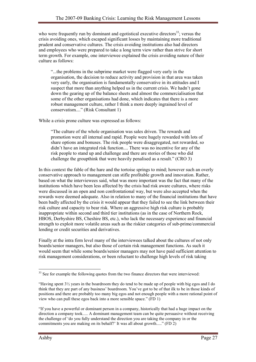who were frequently run by dominant and egotistical executive directors<sup>33</sup>; versus the crisis avoiding ones, which escaped significant losses by maintaining more traditional prudent and conservative cultures. The crisis avoiding institutions also had directors and employees who were prepared to take a long term view rather than strive for short term growth. For example, one interviewee explained the crisis avoiding nature of their culture as follows:

"...the problems in the subprime market were flagged very early in the organisation, the decision to reduce activity and provision in that area was taken very early, the organisation is fundamentally conservative in its attitudes and I suspect that more than anything helped us in the current crisis. We hadn't gone down the gearing up of the balance sheets and almost the commercialisation that some of the other organisations had done, which indicates that there is a more robust management culture, rather I think a more deeply ingrained level of conservatism...." (Risk Consultant 1)

While a crisis prone culture was expressed as follows:

"The culture of the whole organisation was sales driven. The rewards and promotion were all internal and rapid. People were hugely rewarded with lots of share options and bonuses. The risk people were disaggregated, not rewarded, so didn't have an integrated risk function.... There was no incentive for any of the risk people to stand up and challenge and there are stories of those who did challenge the groupthink that were heavily penalised as a result." (CRO 3)

In this context the fable of the hare and the tortoise springs to mind; however such an overly conservative approach to management can stifle profitable growth and innovation. Rather, based on what the interviewees said, what was more important was the fact that many of the institutions which have been less affected by the crisis had risk aware cultures, where risks were discussed in an open and non confrontational way, but were also accepted when the rewards were deemed adequate. Also in relation to many of the financial institutions that have been badly affected by the crisis it would appear that they failed to see the link between their risk culture and capacity to bear risk. Where an aggressive high risk culture is probably inappropriate within second and third tier institutions (as in the case of Northern Rock, HBOS, Derbyshire BS, Cheshire BS, etc.), who lack the necessary experience and financial strength to exploit more volatile areas such as the riskier categories of sub-prime/commercial lending or credit securities and derivatives.

Finally at the intra firm level many of the interviewees talked about the cultures of not only boards/senior managers, but also those of certain risk management functions. As such it would seem that while some boards/senior managers may not have paid sufficient attention to risk management considerations, or been reluctant to challenge high levels of risk taking

l <sup>33</sup> See for example the following quotes from the two finance directors that were interviewed:

<sup>&</sup>quot;Having spent  $3\frac{1}{2}$  years in the boardroom they do tend to be made up of people with big egos and I do think that they are part of any business' boardroom. You've got to be of that ilk to be in those kinds of positions and there are probably too many big egos and not enough people with a more rational point of view who can pull these egos back into a more sensible space." (FD 1)

<sup>&</sup>quot;If you have a powerful or dominant person in a company, historically that had a huge impact on the direction a company took..... A dominant management team can be quite persuasive without receiving the challenge of 'do you fully understand the direction you are taking the company in or the commitments you are making on its behalf?' It was all about growth....." (FD 2)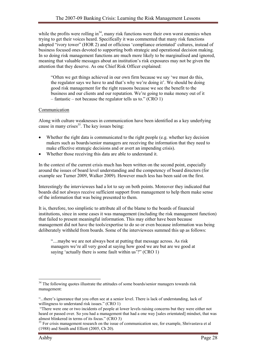while the profits were rolling in $^{34}$ , many risk functions were their own worst enemies when trying to get their voices heard. Specifically it was commented that many risk functions adopted "ivory tower" (HOR 2) and or officious 'compliance orientated' cultures, instead of business focused ones devoted to supporting both strategic and operational decision making. In so doing risk management functions are much more likely to be marginalised and ignored, meaning that valuable messages about an institution's risk exposures may not be given the attention that they deserve. As one Chief Risk Officer explained:

"Often we get things achieved in our own firm because we say 'we must do this, the regulator says we have to and that's why we're doing it'. We should be doing good risk management for the right reasons because we see the benefit to the business and our clients and our reputation. We're going to make money out of it – fantastic – not because the regulator tells us to." (CRO 1)

## Communication

Along with culture weaknesses in communication have been identified as a key underlying cause in many crises $35$ . The key issues being:

- Whether the right data is communicated to the right people (e.g. whether key decision makers such as boards/senior managers are receiving the information that they need to make effective strategic decisions and or avert an impending crisis).
- Whether those receiving this data are able to understand it.

In the context of the current crisis much has been written on the second point, especially around the issues of board level understanding and the competency of board directors (for example see Turner 2009, Walker 2009). However much less has been said on the first.

Interestingly the interviewees had a lot to say on both points. Moreover they indicated that boards did not always receive sufficient support from management to help them make sense of the information that was being presented to them.

It is, therefore, too simplistic to attribute all of the blame to the boards of financial institutions, since in some cases it was management (including the risk management function) that failed to present meaningful information. This may either have been because management did not have the tools/expertise to do so or even because information was being deliberately withheld from boards. Some of the interviewees summed this up as follows:

"....maybe we are not always best at putting that message across. As risk managers we're all very good at saying how good we are but are we good at saying 'actually there is some fault within us'?" (CRO 1)

 $\overline{a}$ <sup>34</sup> The following quotes illustrate the attitudes of some boards/senior managers towards risk management:

<sup>&</sup>quot;...there's ignorance that you often see at a senior level. There is lack of understanding, lack of willingness to understand risk issues." (CRO 1)

 <sup>&</sup>quot;There were one or two incidents of people at lower levels raising concerns but they were either not heard or passed over. So you had a management that had a one way [sales orientated] mindset, that was almost blinkered in terms of its focus." (CRO 3)

<sup>&</sup>lt;sup>35</sup> For crisis management research on the issue of communication see, for example, Shrivastava et al (1988) and Smith and Elliott (2005, Ch 20).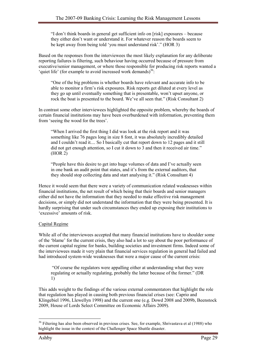"I don't think boards in general get sufficient info on [risk] exposures – because they either don't want or understand it. For whatever reason the boards seem to be kept away from being told 'you must understand risk'." (HOR 3)

Based on the responses from the interviewees the most likely explanation for any deliberate reporting failures is filtering, such behaviour having occurred because of pressure from executive/senior management, or where those responsible for producing risk reports wanted a 'quiet life' (for example to avoid increased work demands)<sup>36</sup>:

"One of the big problems is whether boards have relevant and accurate info to be able to monitor a firm's risk exposures. Risk reports get diluted at every level as they go up until eventually something that is presentable, won't upset anyone, or rock the boat is presented to the board. We've all seen that." (Risk Consultant 2)

In contrast some other interviewees highlighted the opposite problem, whereby the boards of certain financial institutions may have been overburdened with information, preventing them from 'seeing the wood for the trees'.

"When I arrived the first thing I did was look at the risk report and it was something like 76 pages long in size 8 font, it was absolutely incredibly detailed and I couldn't read it.... So I basically cut that report down to 12 pages and it still did not get enough attention, so I cut it down to 3 and then it received air time." (HOR 2)

"People have this desire to get into huge volumes of data and I've actually seen in one bank an audit point that states, and it's from the external auditors, that they should stop collecting data and start analysing it." (Risk Consultant 4)

Hence it would seem that there were a variety of communication related weaknesses within financial institutions, the net result of which being that their boards and senior managers either did not have the information that they needed to make effective risk management decisions, or simply did not understand the information that they were being presented. It is hardly surprising that under such circumstances they ended up exposing their institutions to 'excessive' amounts of risk.

## Capital Regime

While all of the interviewees accepted that many financial institutions have to shoulder some of the 'blame' for the current crisis, they also had a lot to say about the poor performance of the current capital regime for banks, building societies and investment firms. Indeed some of the interviewees made it very plain that financial services regulation in general had failed and had introduced system-wide weaknesses that were a major cause of the current crisis:

 "Of course the regulators were appalling either at understanding what they were regulating or actually regulating, probably the latter because of the former." (DR 1)

This adds weight to the findings of the various external commentators that highlight the role that regulation has played in causing both previous financial crises (see: Caprio and Klingebiel 1996, Llewellyn 1998) and the current one (e.g. Dowd 2008 and 2009b, Beenstock 2009, House of Lords Select Committee on Economic Affairs 2009).

 $\overline{a}$ <sup>36</sup> Filtering has also been observed in previous crises. See, for example, Shrivastava et al (1988) who highlight the issue in the context of the Challenger Space Shuttle disaster.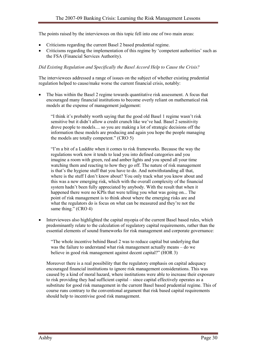The points raised by the interviewees on this topic fell into one of two main areas:

- Criticisms regarding the current Basel 2 based prudential regime.
- Criticisms regarding the implementation of this regime by 'competent authorities' such as the FSA (Financial Services Authority).

#### Did Existing Regulation and Specifically the Basel Accord Help to Cause the Crisis?

The interviewees addressed a range of issues on the subject of whether existing prudential regulation helped to cause/make worse the current financial crisis, notably:

• The bias within the Basel 2 regime towards quantitative risk assessment. A focus that encouraged many financial institutions to become overly reliant on mathematical risk models at the expense of management judgement:

"I think it's probably worth saying that the good old Basel 1 regime wasn't risk sensitive but it didn't allow a credit crunch like we've had. Basel 2 sensitivity drove people to models.... so you are making a lot of strategic decisions off the information these models are producing and again you hope the people managing the models are totally competent." (CRO 5)

"I'm a bit of a Luddite when it comes to risk frameworks. Because the way the regulations work now it tends to lead you into defined categories and you imagine a room with green, red and amber lights and you spend all your time watching them and reacting to how they go off. The nature of risk management is that's the hygiene stuff that you have to do. And notwithstanding all that, where is the stuff I don't know about? You only track what you know about and this was a new emerging risk, which with the overall complexity of the financial system hadn't been fully appreciated by anybody. With the result that when it happened there were no KPIs that were telling you what was going on... The point of risk management is to think about where the emerging risks are and what the regulators do is focus on what can be measured and they're not the same thing." (CRO 4)

• Interviewees also highlighted the capital myopia of the current Basel based rules, which predominantly relate to the calculation of regulatory capital requirements, rather than the essential elements of sound frameworks for risk management and corporate governance:

"The whole incentive behind Basel 2 was to reduce capital but underlying that was the failure to understand what risk management actually means – do we believe in good risk management against decent capital?" (HOR 3)

Moreover there is a real possibility that the regulatory emphasis on capital adequacy encouraged financial institutions to ignore risk management considerations. This was caused by a kind of moral hazard, where institutions were able to increase their exposure to risk providing they had sufficient capital – since capital effectively operates as a substitute for good risk management in the current Basel based prudential regime. This of course runs contrary to the conventional argument that risk based capital requirements should help to incentivise good risk management.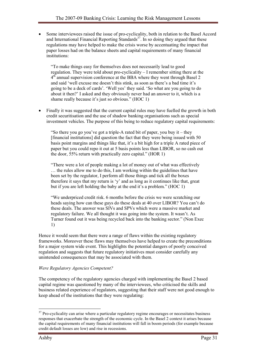• Some interviewees raised the issue of pro-cyclicality, both in relation to the Basel Accord and International Financial Reporting Standards<sup>37</sup>. In so doing they argued that these regulations may have helped to make the crisis worse by accentuating the impact that paper losses had on the balance sheets and capital requirements of many financial institutions:

"To make things easy for themselves does not necessarily lead to good regulation. They were told about pro-cyclicality – I remember sitting there at the  $4<sup>th</sup>$  annual supervision conference at the BBA where they went through Basel 2 and said 'well excuse me doesn't this stink, as soon as there's a bad time it's going to be a deck of cards'. 'Well yes' they said. 'So what are you going to do about it then?' I asked and they obviously never had an answer to it, which is a shame really because it's just so obvious." (HOC 1)

• Finally it was suggested that the current capital rules may have fuelled the growth in both credit securitisation and the use of shadow banking organisations such as special investment vehicles. The purpose of this being to reduce regulatory capital requirements:

"So there you go you've got a triple-A rated bit of paper, you buy it – they [financial institutions] did question the fact that they were being issued with 50 basis point margins and things like that, it's a bit high for a triple A rated piece of paper but you could repo it out at 5 basis points less than LIBOR, so no cash out the door, 55% return with practically zero capital." (HOR 1)

"There were a lot of people making a lot of money out of what was effectively … the rules allow me to do this, I am working within the guidelines that have been set by the regulator, I perform all those things and tick all the boxes therefore it says that my return is 'y' and as long as it continues like that, great but if you are left holding the baby at the end it's a problem." (HOC 1)

"We underpriced credit risk. 6 months before the crisis we were scratching our heads saying how can these guys do these deals at 40 over LIBOR? You can't do these deals. The answer was SIVs and SPVs which were a massive market and regulatory failure. We all thought it was going into the system. It wasn't. As Turner found out it was being recycled back into the banking sector." (Non Exec 1)

Hence it would seem that there were a range of flaws within the existing regulatory frameworks. Moreover these flaws may themselves have helped to create the preconditions for a major system wide event. This highlights the potential dangers of poorly conceived regulation and suggests that future regulatory initiatives must consider carefully any unintended consequences that may be associated with them.

## Were Regulatory Agencies Competent?

The competency of the regulatory agencies charged with implementing the Basel 2 based capital regime was questioned by many of the interviewees, who criticised the skills and business related experience of regulators, suggesting that their staff were not good enough to keep ahead of the institutions that they were regulating:

 $\overline{a}$ 

<sup>&</sup>lt;sup>37</sup> Pro-cyclicality can arise where a particular regulatory regime encourages or necessitates business responses that exacerbate the strength of the economic cycle. In the Basel 2 context it arises because the capital requirements of many financial institutions will fall in boom periods (for example because credit default losses are low) and rise in recessions.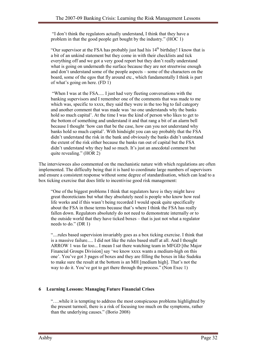"I don't think the regulators actually understand, I think that they have a problem in that the good people get bought by the industry." (HOC 1)

"Our supervisor at the FSA has probably just had his  $14<sup>th</sup>$  birthday! I know that is a bit of an unkind statement but they come in with their checklists and tick everything off and we got a very good report but they don't really understand what is going on underneath the surface because they are not streetwise enough and don't understand some of the people aspects – some of the characters on the board, some of the egos that fly around etc., which fundamentally I think is part of what's going on here. (FD 1)

 "When I was at the FSA..... I just had very fleeting conversations with the banking supervisors and I remember one of the comments that was made to me which was, specific to xxxx, they said they were in the too big to fail category and another comment that was made was 'no one understands why the banks hold so much capital'. At the time I was the kind of person who likes to get to the bottom of something and understand it and that rang a bit of an alarm bell because I thought 'how can that be the case, how can you not understand why banks hold so much capital'. With hindsight you can say probably that the FSA didn't understand the risk in the bank and obviously the banks didn't understand the extent of the risk either because the banks ran out of capital but the FSA didn't understand why they had so much. It's just an anecdotal comment but quite revealing." (HOR 2)

The interviewees also commented on the mechanistic nature with which regulations are often implemented. The difficulty being that it is hard to coordinate large numbers of supervisors and ensure a consistent response without some degree of standardisation, which can lead to a box ticking exercise that does little to incentivise good risk management:

"One of the biggest problems I think that regulators have is they might have great theoreticians but what they absolutely need is people who know how real life works and if this wasn't being recorded I would speak quite specifically about the FSA in those terms because that's where I think the FSA has really fallen down. Regulators absolutely do not need to demonstrate internally or to the outside world that they have ticked boxes – that is just not what a regulator needs to do." (DR 1)

"....rules based supervision invariably goes as a box ticking exercise. I think that is a massive failure..... I did not like the rules based stuff at all. And I thought ARROW 1 was far too... I mean I sat there watching team in MFGD [the Major Financial Groups Division] say 'we know xxxx wants a medium-high on this one'. You've got 3 pages of boxes and they are filling the boxes in like Sudoku to make sure the result at the bottom is an MH [medium high]. That's not the way to do it. You've got to get there through the process." (Non Exec 1)

## 6 Learning Lessons: Managing Future Financial Crises

"….while it is tempting to address the most conspicuous problems highlighted by the present turmoil, there is a risk of focusing too much on the symptoms, rather than the underlying causes." (Borio 2008)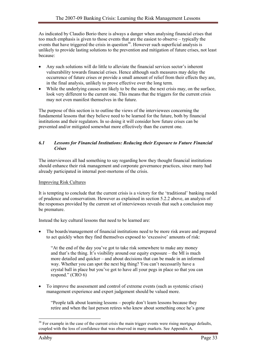As indicated by Claudio Borio there is always a danger when analysing financial crises that too much emphasis is given to those events that are the easiest to observe – typically the events that have triggered the crisis in question<sup>38</sup>. However such superficial analysis is unlikely to provide lasting solutions to the prevention and mitigation of future crises, not least because:

- Any such solutions will do little to alleviate the financial services sector's inherent vulnerability towards financial crises. Hence although such measures may delay the occurrence of future crises or provide a small amount of relief from their effects they are, in the final analysis, unlikely to prove effective over the long term.
- While the underlying causes are likely to be the same, the next crisis may, on the surface, look very different to the current one. This means that the triggers for the current crisis may not even manifest themselves in the future.

The purpose of this section is to outline the views of the interviewees concerning the fundamental lessons that they believe need to be learned for the future, both by financial institutions and their regulators. In so doing it will consider how future crises can be prevented and/or mitigated somewhat more effectively than the current one.

#### 6.1 Lessons for Financial Institutions: Reducing their Exposure to Future Financial **Crises**

The interviewees all had something to say regarding how they thought financial institutions should enhance their risk management and corporate governance practices, since many had already participated in internal post-mortems of the crisis.

#### Improving Risk Cultures

It is tempting to conclude that the current crisis is a victory for the 'traditional' banking model of prudence and conservatism. However as explained in section 5.2.2 above, an analysis of the responses provided by the current set of interviewees reveals that such a conclusion may be premature.

Instead the key cultural lessons that need to be learned are:

• The boards/management of financial institutions need to be more risk aware and prepared to act quickly when they find themselves exposed to 'excessive' amounts of risk:

"At the end of the day you've got to take risk somewhere to make any money and that's the thing. It's visibility around our equity exposure – the MI is much more detailed and quicker – and about decisions that can be made in an informed way. Whether you can spot the next big thing? You can't necessarily have a crystal ball in place but you've got to have all your pegs in place so that you can respond." (CRO 6)

• To improve the assessment and control of extreme events (such as systemic crises) management experience and expert judgement should be valued more.

"People talk about learning lessons – people don't learn lessons because they retire and when the last person retires who knew about something once he's gone

 $\overline{a}$  $38$  For example in the case of the current crisis the main trigger events were rising mortgage defaults, coupled with the loss of confidence that was observed in many markets. See Appendix A.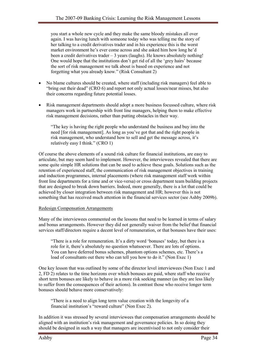you start a whole new cycle and they make the same bloody mistakes all over again. I was having lunch with someone today who was telling me the story of her talking to a credit derivatives trader and in his experience this is the worst market environment he's ever come across and she asked him how long he'd been a credit derivatives trader  $-3$  years (laughs). He knows absolutely nothing! One would hope that the institutions don't get rid of all the 'grey hairs' because the sort of risk management we talk about is based on experience and not forgetting what you already know." (Risk Consultant 2)

- No blame cultures should be created, where staff (including risk managers) feel able to "bring out their dead" (CRO 6) and report not only actual losses/near misses, but also their concerns regarding future potential losses.
- Risk management departments should adopt a more business focussed culture, where risk managers work in partnership with front line managers, helping them to make effective risk management decisions, rather than putting obstacles in their way.

"The key is having the right people who understand the business and buy into the need [for risk management]. As long as you've got that and the right people in risk management, who understand how to sell and get the message across, it's relatively easy I think." (CRO 1)

Of course the above elements of a sound risk culture for financial institutions, are easy to articulate, but may seem hard to implement. However, the interviewees revealed that there are some quite simple HR solutions that can be used to achieve these goals. Solutions such as the retention of experienced staff, the communication of risk management objectives in training and induction programmes, internal placements (where risk management staff work within front line departments for a time and or vice-versa) or cross department team building projects that are designed to break down barriers. Indeed, more generally, there is a lot that could be achieved by closer integration between risk management and HR; however this is not something that has received much attention in the financial services sector (see Ashby 2009b).

#### Redesign Compensation Arrangements

Many of the interviewees commented on the lessons that need to be learned in terms of salary and bonus arrangements. However they did not generally waiver from the belief that financial services staff/directors require a decent level of remuneration, or that bonuses have their uses:

"There is a role for remuneration. It's a dirty word 'bonuses' today, but there is a role for it, there's absolutely no question whatsoever. There are lots of options. You can have deferred bonus schemes, phantom options schemes, etc. There's a load of consultants out there who can tell you how to do it." (Non Exec 1)

One key lesson that was outlined by some of the director level interviewees (Non Exec 1 and 2, FD 2) relates to the time horizons over which bonuses are paid, where staff who receive short term bonuses are likely to behave in a more risk seeking manner (as they are less likely to suffer from the consequences of their actions). In contrast those who receive longer term bonuses should behave more conservatively:

"There is a need to align long term value creation with the longevity of a financial institution's "reward culture" (Non Exec 2).

In addition it was stressed by several interviewees that compensation arrangements should be aligned with an institution's risk management and governance policies. In so doing they should be designed in such a way that managers are incentivised to not only consider their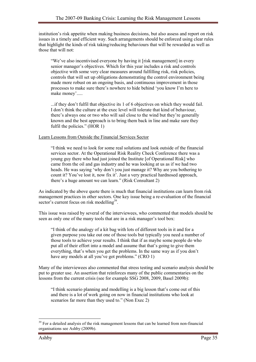institution's risk appetite when making business decisions, but also assess and report on risk issues in a timely and efficient way. Such arrangements should be enforced using clear rules that highlight the kinds of risk taking/reducing behaviours that will be rewarded as well as those that will not:

"We've also incentivised everyone by having it [risk management] in every senior manager's objectives. Which for this year includes a risk and controls objective with some very clear measures around fulfilling risk, risk policies, controls that will set up obligations demonstrating the control environment being made more robust on an ongoing basis, and continuous improvement in those processes to make sure there's nowhere to hide behind 'you know I'm here to make money'.....

...if they don't fulfil that objective its 1 of 6 objectives on which they would fail. I don't think the culture at the exec level will tolerate that kind of behaviour, there's always one or two who will sail close to the wind but they're generally known and the best approach is to bring them back in line and make sure they fulfil the policies." (HOR 1)

Learn Lessons from Outside the Financial Services Sector

"I think we need to look for some real solutions and look outside of the financial services sector. At the Operational Risk Reality Check Conference there was a young guy there who had just joined the Institute [of Operational Risk] who came from the oil and gas industry and he was looking at us as if we had two heads. He was saying 'why don't you just manage it? Why are you bothering to count it? You've lost it, now fix it'. Just a very practical hardnosed approach, there's a huge amount we can learn." (Risk Consultant 2)

As indicated by the above quote there is much that financial institutions can learn from risk management practices in other sectors. One key issue being a re-evaluation of the financial sector's current focus on risk modelling<sup>39</sup>.

This issue was raised by several of the interviewees, who commented that models should be seen as only one of the many tools that are in a risk manager's tool box:

"I think of the analogy of a kit bag with lots of different tools in it and for a given purpose you take out one of those tools but typically you need a number of those tools to achieve your results. I think that if as maybe some people do who put all of their effort into a model and assume that that's going to give them everything, that's when you get the problems. In the same way as if you don't have any models at all you've got problems." (CRO 1)

Many of the interviewees also commented that stress testing and scenario analysis should be put to greater use. An assertion that reinforces many of the public commentaries on the lessons from the current crisis (see for example SSG 2008, 2009, Basel 2009b):

"I think scenario planning and modelling is a big lesson that's come out of this and there is a lot of work going on now in financial institutions who look at scenarios far more than they used to." (Non Exec 2)

 $\overline{a}$ <sup>39</sup> For a detailed analysis of the risk management lessons that can be learned from non-financial organisations see Ashby (2009b).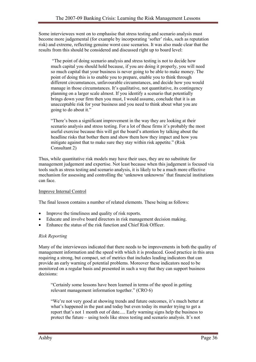Some interviewees went on to emphasise that stress testing and scenario analysis must become more judgemental (for example by incorporating 'softer' risks, such as reputation risk) and extreme, reflecting genuine worst case scenarios. It was also made clear that the results from this should be considered and discussed right up to board level:

 "The point of doing scenario analysis and stress testing is not to decide how much capital you should hold because, if you are doing it properly, you will need so much capital that your business is never going to be able to make money. The point of doing this is to enable you to prepare, enable you to think through different circumstances, unfavourable circumstances, and decide how you would manage in those circumstances. It's qualitative, not quantitative, its contingency planning on a larger scale almost. If you identify a scenario that potentially brings down your firm then you must, I would assume, conclude that it is an unacceptable risk for your business and you need to think about what you are going to do about it."

"There's been a significant improvement in the way they are looking at their scenario analysis and stress testing. For a lot of these firms it's probably the most useful exercise because this will get the board's attention by talking about the headline risks that bother them and show them how they impact and how you mitigate against that to make sure they stay within risk appetite." (Risk Consultant 2)

Thus, while quantitative risk models may have their uses, they are no substitute for management judgement and expertise. Not least because when this judgement is focused via tools such as stress testing and scenario analysis, it is likely to be a much more effective mechanism for assessing and controlling the 'unknown unknowns' that financial institutions can face.

## Improve Internal Control

The final lesson contains a number of related elements. These being as follows:

- Improve the timeliness and quality of risk reports.
- Educate and involve board directors in risk management decision making.
- Enhance the status of the risk function and Chief Risk Officer.

## Risk Reporting

Many of the interviewees indicated that there needs to be improvements in both the quality of management information and the speed with which it is produced. Good practice in this area requiring a strong, but compact, set of metrics that includes leading indicators that can provide an early warning of potential problems. Moreover these indicators need to be monitored on a regular basis and presented in such a way that they can support business decisions:

"Certainly some lessons have been learned in terms of the speed in getting relevant management information together." (CRO 6)

"We're not very good at showing trends and future outcomes, it's much better at what's happened in the past and today but even today its murder trying to get a report that's not 1 month out of date..... Early warning signs help the business to protect the future – using tools like stress testing and scenario analysis. It's not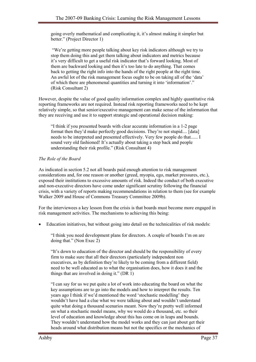going overly mathematical and complicating it, it's almost making it simpler but better." (Project Director 1)

 "We're getting more people talking about key risk indicators although we try to stop them doing this and get them talking about indicators and metrics because it's very difficult to get a useful risk indicator that's forward looking. Most of them are backward looking and then it's too late to do anything. That comes back to getting the right info into the hands of the right people at the right time. An awful lot of the risk management focus ought to be on taking all of the 'data' of which there are phenomenal quantities and turning it into 'information'." (Risk Consultant 2)

However, despite the value of good quality information complex and highly quantitative risk reporting frameworks are not required. Instead risk reporting frameworks need to be kept relatively simple, so that senior/executive management can make sense of the information that they are receiving and use it to support strategic and operational decision making:

"I think if you presented boards with clear accurate information in a 1-2 page format then they'd make perfectly good decisions. They're not stupid.... [data] needs to be interpreted and presented effectively. Very few people do that...... I sound very old fashioned! It's actually about taking a step back and people understanding their risk profile." (Risk Consultant 4)

## The Role of the Board

As indicated in section 5.2 not all boards paid enough attention to risk management considerations and, for one reason or another (greed, myopia, ego, market pressures, etc.), exposed their institutions to excessive amounts of risk. Indeed the conduct of both executive and non-executive directors have come under significant scrutiny following the financial crisis, with a variety of reports making recommendations in relation to them (see for example Walker 2009 and House of Commons Treasury Committee 2009b).

For the interviewees a key lesson from the crisis is that boards must become more engaged in risk management activities. The mechanisms to achieving this being:

• Education initiatives, but without going into detail on the technicalities of risk models:

"I think you need development plans for directors. A couple of boards I'm on are doing that." (Non Exec 2)

"It's down to education of the director and should be the responsibility of every firm to make sure that all their directors (particularly independent non executives, as by definition they're likely to be coming from a different field) need to be well educated as to what the organisation does, how it does it and the things that are involved in doing it." (DR 1)

"I can say for us we put quite a lot of work into educating the board on what the key assumptions are to go into the models and how to interpret the results. Ten years ago I think if we'd mentioned the word 'stochastic modelling' they wouldn't have had a clue what we were talking about and wouldn't understand quite what doing a thousand scenarios meant. Now they're pretty well informed on what a stochastic model means, why we would do a thousand, etc. so their level of education and knowledge about this has come on in leaps and bounds. They wouldn't understand how the model works and they can just about get their heads around what distribution means but not the specifics or the mechanics of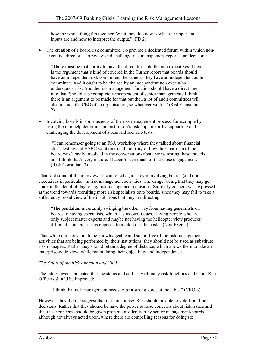how the whole thing fits together. What they do know is what the important inputs are and how to interpret the output." (FD 2)

• The creation of a board risk committee. To provide a dedicated forum within which nonexecutive directors can review and challenge risk management reports and decisions:

"There must be that ability to have the direct link into the non executives. There is the argument that's kind of covered in the Turner report that boards should have an independent risk committee, the same as they have an independent audit committee. And it ought to be chaired by an independent non exec who understands risk. And the risk management function should have a direct line into that. Should it be completely independent of senior management? I think there is an argument to be made for that but then a lot of audit committees will also include the CEO of an organisation, so whatever works." (Risk Consultant 2)

• Involving boards in some aspects of the risk management process, for example by using them to help determine an institution's risk appetite or by supporting and challenging the development of stress and scenario tests:

 "I can remember going to an FSA workshop where they talked about financial stress testing and HSBC went on to tell the story of how the Chairman of the board was heavily involved in the conversations about stress testing these models and I think that's very mature. I haven't seen much of that close engagement." (Risk Consultant 3)

That said some of the interviewees cautioned against over involving boards (and non executives in particular) in risk management activities. The danger being that they may get stuck in the detail of day to day risk management decisions. Similarly concern was expressed at the trend towards recruiting more risk specialists onto boards, since they may fail to take a sufficiently broad view of the institutions that they are directing:

"The pendulum is certainly swinging the other way from having generalists on boards to having specialists, which has its own issues. Having people who are only subject matter experts and maybe not having the helicopter view produces different strategic risk as opposed to market or other risk." (Non Exec 2)

Thus while directors should be knowledgeable and supportive of the risk management activities that are being performed by their institutions, they should not be used as substitute risk managers. Rather they should retain a degree of distance, which allows them to take an enterprise-wide view, while maintaining their objectivity and independence.

## The Status of the Risk Function and CRO

The interviewees indicated that the status and authority of many risk functions and Chief Risk Officers should be improved:

"I think that risk management needs to be a strong voice at the table." (CRO 3)

However, they did not suggest that risk functions/CROs should be able to veto front line decisions. Rather that they should be have the power to raise concerns about risk issues and that these concerns should be given proper consideration by senior management/boards, although not always acted upon, where there are compelling reasons for doing so: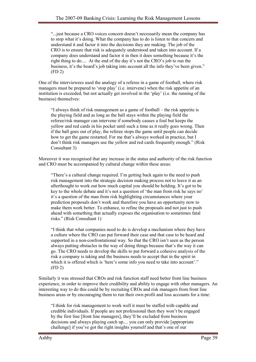"...just because a CRO voices concern doesn't necessarily mean the company has to stop what it's doing. What the company has to do is listen to that concern and understand it and factor it into the decisions they are making. The job of the CRO is to ensure that risk is adequately understood and taken into account. If a company does understand and factor it in then it does something because it's the right thing to do.... At the end of the day it's not the CRO's job to run the business, it's the board's job taking into account all the info they've been given." (FD 2)

One of the interviewees used the analogy of a referee in a game of football, where risk managers must be prepared to 'stop play' (i.e. intervene) when the risk appetite of an institution is exceeded, but not actually get involved in the 'play' (i.e. the running of the business) themselves:

"I always think of risk management as a game of football – the risk appetite is the playing field and as long as the ball stays within the playing field the referee/risk manager can intervene if somebody causes a foul but keeps the yellow and red cards in his pocket until such a time as it really goes wrong. Then if the ball goes out of play, the referee stops the game until people can decide how to get the game restarted. For me that's always worked in practice, but I don't think risk managers use the yellow and red cards frequently enough." (Risk Consultant 3)

Moreover it was recognised that any increase in the status and authority of the risk function and CRO must be accompanied by cultural change within these areas:

"There's a cultural change required. I'm getting back again to the need to push risk management into the strategic decision making process not to leave it as an afterthought to work out how much capital you should be holding. It's got to be key to the whole debate and it's not a question of 'the man from risk he says no' it's a question of the man from risk highlighting circumstances where your prediction proposals don't work and therefore you have an opportunity now to make them work better. To enhance, to refine the proposals and not just to push ahead with something that actually exposes the organisation to sometimes fatal risks." (Risk Consultant 1)

"I think that what companies need to do is develop a mechanism where they have a culture where the CRO can put forward their case and that case to be heard and supported in a non-confrontational way. So that the CRO isn't seen as the person always putting obstacles in the way of doing things because that's the way it can go. The CRO needs to develop the skills to put forward a cohesive analysis of the risk a company is taking and the business needs to accept that in the spirit in which it is offered which is 'here's some info you need to take into account'." (FD 2)

Similarly it was stressed that CROs and risk function staff need better front line business experience, in order to improve their credibility and ability to engage with other managers. An interesting way to do this could be by recruiting CROs and risk managers from front line business areas or by encouraging them to run their own profit and loss accounts for a time:

"I think for risk management to work well it must be staffed with capable and credible individuals. If people are not professional then they won't be engaged by the first line [front line managers], they'll be excluded from business decisions and always playing catch up.... you can only provide [appropriate challenge] if you've got the right insights yourself and that's one of our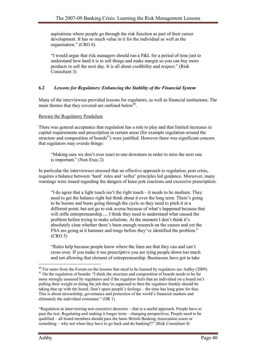aspirations where people go through the risk function as part of their career development. It has so much value in it for the individual as well as the organisation." (CRO 6)

"I would argue that risk managers should run a P&L for a period of time just to understand how hard it is to sell things and make margin so you can buy more products to sell the next day. It is all about credibility and respect." (Risk Consultant 3)

## 6.2 Lessons for Regulators: Enhancing the Stability of the Financial System

Many of the interviewees provided lessons for regulators, as well as financial institutions. The main themes that they covered are outlined below<sup>40</sup>.

#### Beware the Regulatory Pendulum

There was general acceptance that regulation has a role to play and that limited increases in capital requirements and prescription in certain areas (for example regulation around the structure and composition of boards<sup>41</sup>) were justified. However there was significant concern that regulators may overdo things:

"Making sure we don't over react to one downturn in order to miss the next one is important." (Non Exec 2)

In particular the interviewees stressed that an effective approach to regulation, post crisis, requires a balance between 'hard' rules and 'softer' principles led guidance. Moreover, many warnings were issued regarding the dangers of knee-jerk reactions and excessive prescription:

"I do agree that a light touch isn't the right touch – it needs to be medium. They need to get the balance right but think about it over the long term. There's going to be booms and busts going through the cycle so they need to pitch it at a different point, but not go to risk averse because of what's happened because that will stifle entrepreneurship..... I think they need to understand what caused the problem before trying to make solutions. At the moment I don't think it's absolutely clear whether there's been enough research on the causes and yet the FSA are going at it hammer and tongs before they've identified the problem." (CRO 5)

"Rules help because people know where the lines are that they can and can't cross over. If you make it too prescriptive you are tying people down too much and not allowing that element of entrepreneurship. Businesses have got to take

"Regulation in interviewing non executive directors – that is a useful approach. People have to pass the test. Regulating and making it longer term – changing perspectives. People need to be qualified – all board members should pass the basic British Banking Association exam or something – why not when they have to go back and do banking?!" (Risk Consultant 4)

 $\overline{a}$  $40$  For more from the Forum on the lessons that need to be learned by regulators see Ashby (2009). <sup>41</sup> On the regulation of boards: "I think the structure and composition of boards needs to be far more strongly assessed by regulators and if the regulator feels that an individual on a board isn't pulling their weight or doing the job they're supposed to then the regulator frankly should be taking that up with the board. Don't spare people's feelings – the time has long gone for that. This is about stewardship, governance and protection of the world's financial markets and ultimately the individual consumer." (DR 1)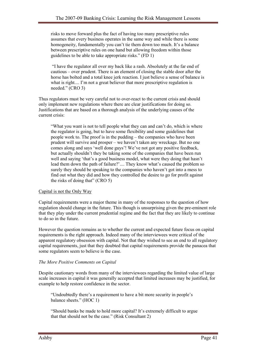risks to move forward plus the fact of having too many prescriptive rules assumes that every business operates in the same way and while there is some homogeneity, fundamentally you can't tie them down too much. It's a balance between prescriptive rules on one hand but allowing freedom within those guidelines to be able to take appropriate risks." (FD 1)

 "I have the regulator all over my back like a rash. Absolutely at the far end of cautious – over prudent. There is an element of closing the stable door after the horse has bolted and a total knee jerk reaction. I just believe a sense of balance is what is right.... I'm not a great believer that more prescriptive regulation is needed." (CRO 3)

Thus regulators must be very careful not to over-react to the current crisis and should only implement new regulations where there are clear justifications for doing so. Justifications that are based on a thorough analysis of the underlying causes of the current crisis:

"What you want is not to tell people what they can and can't do, which is where the regulator is going, but to have some flexibility and some guidelines that people work to. The proof is in the pudding – the companies who have been prudent will survive and prosper – we haven't taken any wreckage. But no one comes along and says 'well done guys'! We've not got any positive feedback, but actually shouldn't they be taking some of the companies that have been run well and saying 'that's a good business model, what were they doing that hasn't lead them down the path of failure?'.... They know what's caused the problem so surely they should be speaking to the companies who haven't got into a mess to find out what they did and how they controlled the desire to go for profit against the risks of doing that" (CRO 5)

## Capital is not the Only Way

Capital requirements were a major theme in many of the responses to the question of how regulation should change in the future. This though is unsurprising given the pre-eminent role that they play under the current prudential regime and the fact that they are likely to continue to do so in the future.

However the question remains as to whether the current and expected future focus on capital requirements is the right approach. Indeed many of the interviewees were critical of the apparent regulatory obsession with capital. Not that they wished to see an end to all regulatory capital requirements, just that they doubted that capital requirements provide the panacea that some regulators seem to believe is the case.

## The More Positive Comments on Capital

Despite cautionary words from many of the interviewees regarding the limited value of large scale increases in capital it was generally accepted that limited increases may be justified, for example to help restore confidence in the sector.

"Undoubtedly there's a requirement to have a bit more security in people's balance sheets." (HOC 1)

"Should banks be made to hold more capital? It's extremely difficult to argue that that should not be the case." (Risk Consultant 2)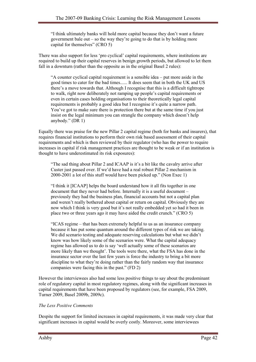"I think ultimately banks will hold more capital because they don't want a future government bale out – so the way they're going to do that is by holding more capital for themselves" (CRO 5)

There was also support for less 'pro cyclical' capital requirements, where institutions are required to build up their capital reserves in benign growth periods, but allowed to let them fall in a downturn (rather than the opposite as in the original Basel 2 rules):

"A counter cyclical capital requirement is a sensible idea – put more aside in the good times to cater for the bad times...... It does seem that in both the UK and US there's a move towards that. Although I recognise that this is a difficult tightrope to walk, right now deliberately not ramping up people's capital requirements or even in certain cases holding organisations to their theoretically legal capital requirements is probably a good idea but I recognise it's quite a narrow path. You've got to make sure there is protection there but at the same time if you just insist on the legal minimum you can strangle the company which doesn't help anybody." (DR 1)

Equally there was praise for the new Pillar 2 capital regime (both for banks and insurers), that requires financial institutions to perform their own risk based assessment of their capital requirements and which is then reviewed by their regulator (who has the power to require increases in capital if risk management practices are thought to be weak or if an institution is thought to have underestimated its risk exposures):

"The sad thing about Pillar 2 and ICAAP is it's a bit like the cavalry arrive after Custer just passed over. If we'd have had a real robust Pillar 2 mechanism in 2000-2001 a lot of this stuff would have been picked up." (Non Exec 1)

"I think it [ICAAP] helps the board understand how it all fits together in one document that they never had before. Internally it is a useful document – previously they had the business plan, financial accounts but not a capital plan and weren't really bothered about capital or return on capital. Obviously they are now which I think is very good but it's not really embedded yet so had it been in place two or three years ago it may have aided the credit crunch." (CRO 5)

"ICAS regime – that has been extremely helpful to us as an insurance company because it has put some quantum around the different types of risk we are taking. We did scenario testing and adequate reserving calculations but what we didn't know was how likely some of the scenarios were. What the capital adequacy regime has allowed us to do is say 'well actually some of these scenarios are more likely than we thought'. The tools were there, what the FSA has done in the insurance sector over the last few years is force the industry to bring a bit more discipline to what they're doing rather than the fairly random way that insurance companies were facing this in the past." (FD 2)

However the interviewees also had some less positive things to say about the predominant role of regulatory capital in most regulatory regimes, along with the significant increases in capital requirements that have been proposed by regulators (see, for example, FSA 2009, Turner 2009, Basel 2009b, 2009c).

## The Less Positive Comments

Despite the support for limited increases in capital requirements, it was made very clear that significant increases in capital would be overly costly. Moreover, some interviewees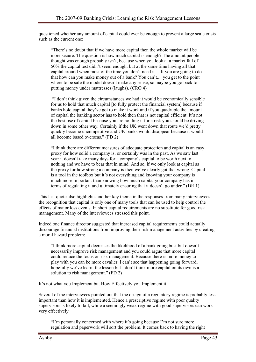questioned whether any amount of capital could ever be enough to prevent a large scale crisis such as the current one:

"There's no doubt that if we have more capital then the whole market will be more secure. The question is how much capital is enough? The amount people thought was enough probably isn't, because when you look at a market fall of 50% the capital test didn't seem enough, but at the same time having all that capital around when most of the time you don't need it.... If you are going to do that how can you make money out of a bank? You can't.... you get to the point where to be safe the model doesn't make any sense, so maybe you go back to putting money under mattresses (laughs). (CRO 4)

 "I don't think given the circumstances we had it would be economically sensible for us to hold that much capital [to fully protect the financial system] because if banks hold capital they've got to make it work and if you quadruple the amount of capital the banking sector has to hold then that is not capital efficient. It's not the best use of capital because you are holding it for a risk you should be driving down in some other way. Certainly if the UK went down that route we'd pretty quickly become uncompetitive and UK banks would disappear because it would all become based overseas." (FD 2)

"I think there are different measures of adequate protection and capital is an easy proxy for how solid a company is, or certainly was in the past. As we saw last year it doesn't take many days for a company's capital to be worth next to nothing and we have to bear that in mind. And so, if we only look at capital as the proxy for how strong a company is then we've clearly got that wrong. Capital is a tool in the toolbox but it's not everything and knowing your company is much more important than knowing how much capital your company has in terms of regulating it and ultimately ensuring that it doesn't go under." (DR 1)

This last quote also highlights another key theme in the responses from many interviewees – the recognition that capital is only one of many tools that can be used to help control the effects of major loss events. In short capital requirements are no substitute for good risk management. Many of the interviewees stressed this point.

Indeed one finance director suggested that increased capital requirements could actually discourage financial institutions from improving their risk management activities by creating a moral hazard problem:

"I think more capital decreases the likelihood of a bank going bust but doesn't necessarily improve risk management and you could argue that more capital could reduce the focus on risk management. Because there is more money to play with you can be more cavalier. I can't see that happening going forward, hopefully we've learnt the lesson but I don't think more capital on its own is a solution to risk management." (FD 2)

## It's not what you Implement but How Effectively you Implement it

Several of the interviewees pointed out that the design of a regulatory regime is probably less important than how it is implemented. Hence a prescriptive regime with poor quality supervisors is likely to fail, while a seemingly weak regime with good supervisors can work very effectively.

"I'm personally concerned with where it's going because I'm not sure more regulation and paperwork will sort the problem. It comes back to having the right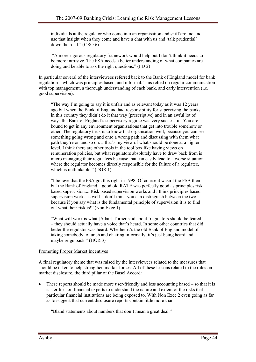individuals at the regulator who come into an organisation and sniff around and use that insight when they come and have a chat with us and 'talk prudential' down the road." (CRO 6)

 "A more rigorous regulatory framework would help but I don't think it needs to be more intrusive. The FSA needs a better understanding of what companies are doing and be able to ask the right questions." (FD 2)

In particular several of the interviewees referred back to the Bank of England model for bank regulation – which was principles based, and informal. This relied on regular communication with top management, a thorough understanding of each bank, and early intervention (i.e. good supervision):

"The way I'm going to say it is unfair and as relevant today as it was 12 years ago but when the Bank of England had responsibility for supervising the banks in this country they didn't do it that way [prescriptive] and in an awful lot of ways the Bank of England's supervisory regime was very successful. You are bound to get in any environment organisations that get into trouble somehow or other. The regulatory trick is to know that organisation well, because you can see something going wrong and onto a wrong path and discussing with them what path they're on and so on… that's my view of what should be done at a higher level. I think there are other tools in the tool box like having views on remuneration policies, but what regulators absolutely have to draw back from is micro managing their regulatees because that can easily lead to a worse situation where the regulator becomes directly responsible for the failure of a regulatee, which is unthinkable." (DOR 1)

"I believe that the FSA got this right in 1998. Of course it wasn't the FSA then but the Bank of England – good old RATE was perfectly good as principles risk based supervision.... Risk based supervision works and I think principles based supervision works as well. I don't think you can distinguish between the two, because if you say what is the fundamental principle of supervision it is to find out what their risk is!" (Non Exec 1)

"What will work is what [Adair] Turner said about 'regulators should be feared' – they should actually have a voice that's heard. In some other countries that did better the regulator was heard. Whether it's the old Bank of England model of taking somebody to lunch and chatting informally, it's just being heard and maybe reign back." (HOR 3)

## Promoting Proper Market Incentives

A final regulatory theme that was raised by the interviewees related to the measures that should be taken to help strengthen market forces. All of these lessons related to the rules on market disclosure, the third pillar of the Basel Accord:

• These reports should be made more user-friendly and less accounting based – so that it is easier for non financial experts to understand the nature and extent of the risks that particular financial institutions are being exposed to. With Non Exec 2 even going as far as to suggest that current disclosure reports contain little more than:

"Bland statements about numbers that don't mean a great deal."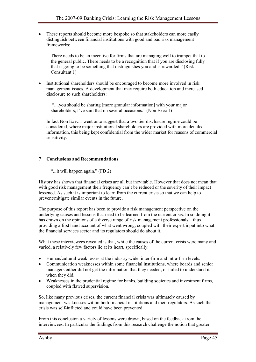• These reports should become more bespoke so that stakeholders can more easily distinguish between financial institutions with good and bad risk management frameworks:

There needs to be an incentive for firms that are managing well to trumpet that to the general public. There needs to be a recognition that if you are disclosing fully that is going to be something that distinguishes you and is rewarded." (Risk Consultant 1)

• Institutional shareholders should be encouraged to become more involved in risk management issues. A development that may require both education and increased disclosure to such shareholders:

 "....you should be sharing [more granular information] with your major shareholders, I've said that on several occasions." (Non Exec 1)

In fact Non Exec 1 went onto suggest that a two tier disclosure regime could be considered, where major institutional shareholders are provided with more detailed information, this being kept confidential from the wider market for reasons of commercial sensitivity.

#### 7 Conclusions and Recommendations

"...it will happen again." (FD 2)

History has shown that financial crises are all but inevitable. However that does not mean that with good risk management their frequency can't be reduced or the severity of their impact lessened. As such it is important to learn from the current crisis so that we can help to prevent/mitigate similar events in the future.

The purpose of this report has been to provide a risk management perspective on the underlying causes and lessons that need to be learned from the current crisis. In so doing it has drawn on the opinions of a diverse range of risk management professionals – thus providing a first hand account of what went wrong, coupled with their expert input into what the financial services sector and its regulators should do about it.

What these interviewees revealed is that, while the causes of the current crisis were many and varied, a relatively few factors lie at its heart, specifically:

- Human/cultural weaknesses at the industry-wide, inter-firm and intra-firm levels.
- Communication weaknesses within some financial institutions, where boards and senior managers either did not get the information that they needed, or failed to understand it when they did.
- Weaknesses in the prudential regime for banks, building societies and investment firms, coupled with flawed supervision.

So, like many previous crises, the current financial crisis was ultimately caused by management weaknesses within both financial institutions and their regulators. As such the crisis was self-inflicted and could have been prevented.

From this conclusion a variety of lessons were drawn, based on the feedback from the interviewees. In particular the findings from this research challenge the notion that greater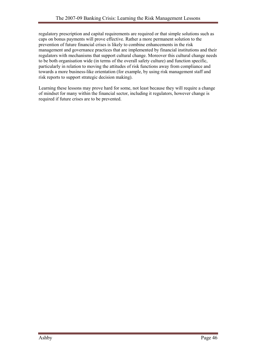regulatory prescription and capital requirements are required or that simple solutions such as caps on bonus payments will prove effective. Rather a more permanent solution to the prevention of future financial crises is likely to combine enhancements in the risk management and governance practices that are implemented by financial institutions and their regulators with mechanisms that support cultural change. Moreover this cultural change needs to be both organisation wide (in terms of the overall safety culture) and function specific, particularly in relation to moving the attitudes of risk functions away from compliance and towards a more business-like orientation (for example, by using risk management staff and risk reports to support strategic decision making).

Learning these lessons may prove hard for some, not least because they will require a change of mindset for many within the financial sector, including it regulators, however change is required if future crises are to be prevented.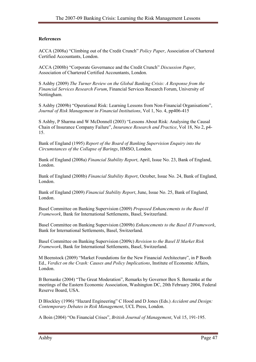#### References

ACCA (2008a) "Climbing out of the Credit Crunch" Policy Paper, Association of Chartered Certified Accountants, London.

ACCA (2008b) "Corporate Governance and the Credit Crunch" Discussion Paper, Association of Chartered Certified Accountants, London.

S Ashby (2009) The Turner Review on the Global Banking Crisis: A Response from the Financial Services Research Forum, Financial Services Research Forum, University of Nottingham.

S Ashby (2009b) "Operational Risk: Learning Lessons from Non-Financial Organisations", Journal of Risk Management in Financial Institutions, Vol 1, No. 4, pp406-415

S Ashby, P Sharma and W McDonnell (2003) "Lessons About Risk: Analysing the Causal Chain of Insurance Company Failure", Insurance Research and Practice, Vol 18, No 2, p4- 15.

Bank of England (1995) Report of the Board of Banking Supervision Enquiry into the Circumstances of the Collapse of Barings, HMSO, London.

Bank of England (2008a) Financial Stability Report, April, Issue No. 23, Bank of England, London.

Bank of England (2008b) Financial Stability Report, October, Issue No. 24, Bank of England, London.

Bank of England (2009) Financial Stability Report, June, Issue No. 25, Bank of England, London.

Basel Committee on Banking Supervision (2009) Proposed Enhancements to the Basel II Framework, Bank for International Settlements, Basel, Switzerland.

Basel Committee on Banking Supervision (2009b) Enhancements to the Basel II Framework, Bank for International Settlements, Basel, Switzerland.

Basel Committee on Banking Supervision (2009c) Revision to the Basel II Market Risk Framework, Bank for International Settlements, Basel, Switzerland.

M Beenstock (2009) "Market Foundations for the New Financial Architecture", in P Booth Ed., Verdict on the Crash: Causes and Policy Implications, Institute of Economic Affairs, London.

B Bernanke (2004) "The Great Moderation", Remarks by Governor Ben S. Bernanke at the meetings of the Eastern Economic Association, Washington DC, 20th February 2004, Federal Reserve Board, USA.

D Blockley (1996) "Hazard Engineering" C Hood and D Jones (Eds.) Accident and Design: Contemporary Debates in Risk Management, UCL Press, London.

A Boin (2004) "On Financial Crises", British Journal of Management, Vol 15, 191-195.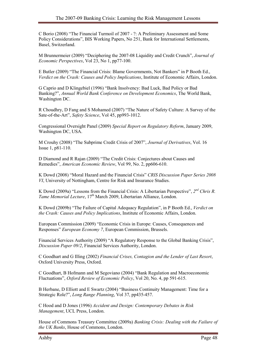C Borio (2008) "The Financial Turmoil of 2007 - ?: A Preliminary Assessment and Some Policy Considerations", BIS Working Papers, No 251, Bank for International Settlements, Basel, Switzerland.

M Brunnermeier (2009) "Deciphering the 2007-08 Liquidity and Credit Crunch", Journal of Economic Perspectives, Vol 23, No 1, pp77-100.

E Butler (2009) "The Financial Crisis: Blame Governments, Not Bankers" in P Booth Ed., Verdict on the Crash: Causes and Policy Implications, Institute of Economic Affairs, London.

G Caprio and D Klingebiel (1996) "Bank Insolvency: Bad Luck, Bad Policy or Bad Banking?", Annual World Bank Conference on Development Economics, The World Bank, Washington DC.

R Choudhry, D Fang and S Mohamed (2007) "The Nature of Safety Culture: A Survey of the Sate-of-the-Art", Safety Science, Vol 45, pp993-1012.

Congressional Oversight Panel (2009) Special Report on Regulatory Reform, January 2009, Washington DC, USA.

M Crouhy (2008) "The Subprime Credit Crisis of 2007", Journal of Derivatives, Vol. 16 Issue 1, p81-110.

D Diamond and R Rajan (2009) "The Credit Crisis: Conjectures about Causes and Remedies", American Economic Review, Vol 99, No. 2, pp606-610.

K Dowd (2008) "Moral Hazard and the Financial Crisis" CRIS Discussion Paper Series 2008 VI, University of Nottingham, Centre for Risk and Insurance Studies.

K Dowd (2009a) "Lessons from the Financial Crisis: A Libertarian Perspective",  $2^{nd}$  Chris R. Tame Memorial Lecture, 17<sup>th</sup> March 2009, Libertarian Alliance, London.

K Dowd (2009b) "The Failure of Capital Adequacy Regulation", in P Booth Ed., Verdict on the Crash: Causes and Policy Implications, Institute of Economic Affairs, London.

European Commission (2009) "Economic Crisis in Europe: Causes, Consequences and Responses" European Economy 7, European Commission, Brussels.

Financial Services Authority (2009) "A Regulatory Response to the Global Banking Crisis", Discussion Paper 09/2, Financial Services Authority, London.

C Goodhart and G Illing (2002) Financial Crises, Contagion and the Lender of Last Resort, Oxford University Press, Oxford.

C Goodhart, B Hofmann and M Segoviano (2004) "Bank Regulation and Macroeconomic Fluctuations", Oxford Review of Economic Policy, Vol 20, No. 4, pp 591-615.

B Herbane, D Elliott and E Swartz (2004) "Business Continuity Management: Time for a Strategic Role?", Long Range Planning, Vol 37, pp435-457.

C Hood and D Jones (1996) Accident and Design: Contemporary Debates in Risk Management, UCL Press, London.

House of Commons Treasury Committee (2009a) Banking Crisis: Dealing with the Failure of the UK Banks, House of Commons, London.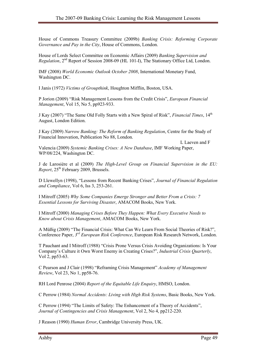House of Commons Treasury Committee (2009b) Banking Crisis: Reforming Corporate Governance and Pay in the City, House of Commons, London.

House of Lords Select Committee on Economic Affairs (2009) Banking Supervision and Regulation, 2nd Report of Session 2008-09 (HL 101-I), The Stationary Office Ltd, London.

IMF (2008) World Economic Outlook October 2008, International Monetary Fund, Washington DC.

I Janis (1972) Victims of Groupthink, Houghton Mifflin, Boston, USA.

P Jorion (2009) "Risk Management Lessons from the Credit Crisis", European Financial Management, Vol 15, No 5, pp923-933.

J Kay (2007) "The Same Old Folly Starts with a New Spiral of Risk", *Financial Times*, 14<sup>th</sup> August, London Edition.

J Kay (2009) Narrow Banking: The Reform of Banking Regulation, Centre for the Study of Financial Innovation, Publication No 88, London.

L Laeven and F Valencia (2009) Systemic Banking Crises: A New Database, IMF Working Paper, WP/08/224, Washington DC.

J de Larosière et al (2009) The High-Level Group on Financial Supervision in the EU:  $Report$ ,  $25<sup>th</sup> February 2009$ , Brussels.

D Llewellyn (1998), "Lessons from Recent Banking Crises", Journal of Financial Regulation and Compliance, Vol 6, Iss 3, 253-261.

I Mitroff (2005) Why Some Companies Emerge Stronger and Better From a Crisis: 7 Essential Lessons for Surviving Disaster, AMACOM Books, New York.

I Mitroff (2000) Managing Crises Before They Happen: What Every Executive Needs to Know about Crisis Management, AMACOM Books, New York.

A Müßig (2009) "The Financial Crisis: What Can We Learn From Social Theories of Risk?", Conference Paper, 3<sup>rd</sup> European Risk Conference, European Risk Research Network, London.

T Pauchant and I Mitroff (1988) "Crisis Prone Versus Crisis Avoiding Organizations: Is Your Company's Culture it Own Worst Enemy in Creating Crises?", Industrial Crisis Quarterly, Vol 2, pp53-63.

C Pearson and J Clair (1998) "Reframing Crisis Management" Academy of Management Review, Vol 23, No 1, pp58-76.

RH Lord Penrose (2004) Report of the Equitable Life Enquiry, HMSO, London.

C Perrow (1984) Normal Accidents: Living with High Risk Systems, Basic Books, New York.

C Perrow (1994) "The Limits of Safety: The Enhancement of a Theory of Accidents", Journal of Contingencies and Crisis Management, Vol 2, No 4, pp212-220.

J Reason (1990) Human Error, Cambridge University Press, UK.